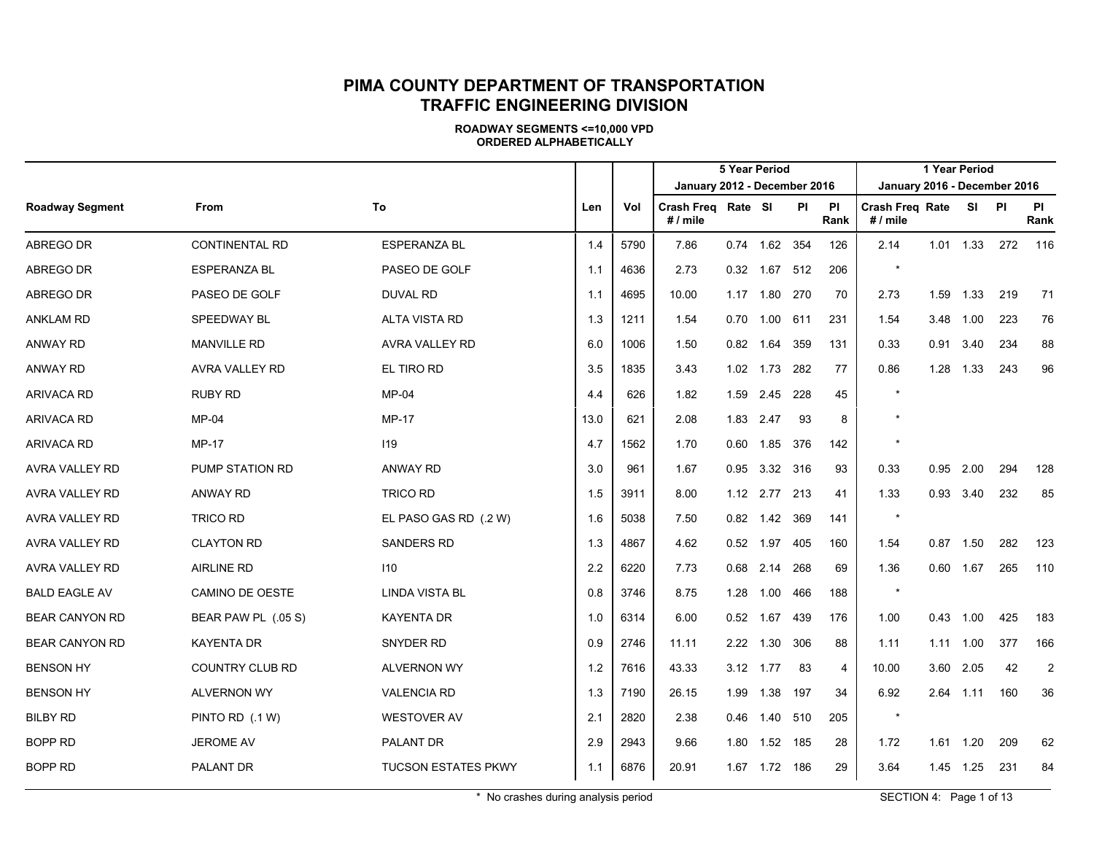|                        |                       |                            |      |      |                                | <b>5 Year Period</b> |               |           |            |                                    | 1 Year Period |           |     |            |
|------------------------|-----------------------|----------------------------|------|------|--------------------------------|----------------------|---------------|-----------|------------|------------------------------------|---------------|-----------|-----|------------|
|                        |                       |                            |      |      | January 2012 - December 2016   |                      |               |           |            | January 2016 - December 2016       |               |           |     |            |
| <b>Roadway Segment</b> | From                  | To                         | Len  | Vol  | Crash Freq Rate SI<br># / mile |                      |               | <b>PI</b> | PI<br>Rank | <b>Crash Freg Rate</b><br># / mile |               | SI PI     |     | PI<br>Rank |
| ABREGO DR              | <b>CONTINENTAL RD</b> | <b>ESPERANZA BL</b>        | 1.4  | 5790 | 7.86                           | 0.74                 | 1.62 354      |           | 126        | 2.14                               |               | 1.01 1.33 | 272 | 116        |
| <b>ABREGO DR</b>       | <b>ESPERANZA BL</b>   | PASEO DE GOLF              | 1.1  | 4636 | 2.73                           | 0.32                 | 1.67          | 512       | 206        | $\star$                            |               |           |     |            |
| ABREGO DR              | PASEO DE GOLF         | DUVAL RD                   | 1.1  | 4695 | 10.00                          | 1.17                 | 1.80 270      |           | 70         | 2.73                               | 1.59          | 1.33      | 219 | 71         |
| <b>ANKLAM RD</b>       | SPEEDWAY BL           | ALTA VISTA RD              | 1.3  | 1211 | 1.54                           | 0.70                 | 1.00 611      |           | 231        | 1.54                               |               | 3.48 1.00 | 223 | 76         |
| ANWAY RD               | <b>MANVILLE RD</b>    | AVRA VALLEY RD             | 6.0  | 1006 | 1.50                           | 0.82                 | 1.64          | 359       | 131        | 0.33                               | 0.91          | 3.40      | 234 | 88         |
| ANWAY RD               | AVRA VALLEY RD        | EL TIRO RD                 | 3.5  | 1835 | 3.43                           | 1.02                 | 1.73          | 282       | 77         | 0.86                               |               | 1.28 1.33 | 243 | 96         |
| <b>ARIVACA RD</b>      | <b>RUBY RD</b>        | MP-04                      | 4.4  | 626  | 1.82                           | 1.59                 | 2.45          | 228       | 45         | $\star$                            |               |           |     |            |
| <b>ARIVACA RD</b>      | MP-04                 | MP-17                      | 13.0 | 621  | 2.08                           | 1.83                 | 2.47          | 93        | 8          |                                    |               |           |     |            |
| ARIVACA RD             | MP-17                 | 119                        | 4.7  | 1562 | 1.70                           | 0.60                 | 1.85          | 376       | 142        |                                    |               |           |     |            |
| AVRA VALLEY RD         | PUMP STATION RD       | <b>ANWAY RD</b>            | 3.0  | 961  | 1.67                           | 0.95                 | 3.32 316      |           | 93         | 0.33                               | 0.95          | 2.00      | 294 | 128        |
| AVRA VALLEY RD         | <b>ANWAY RD</b>       | <b>TRICO RD</b>            | 1.5  | 3911 | 8.00                           | 1.12                 | 2.77 213      |           | 41         | 1.33                               |               | 0.93 3.40 | 232 | 85         |
| AVRA VALLEY RD         | <b>TRICO RD</b>       | EL PASO GAS RD (.2 W)      | 1.6  | 5038 | 7.50                           | 0.82                 | 1.42 369      |           | 141        | $\star$                            |               |           |     |            |
| AVRA VALLEY RD         | <b>CLAYTON RD</b>     | <b>SANDERS RD</b>          | 1.3  | 4867 | 4.62                           | 0.52                 | 1.97          | 405       | 160        | 1.54                               | 0.87          | 1.50      | 282 | 123        |
| AVRA VALLEY RD         | <b>AIRLINE RD</b>     | 110                        | 2.2  | 6220 | 7.73                           | 0.68                 | 2.14 268      |           | 69         | 1.36                               |               | 0.60 1.67 | 265 | 110        |
| <b>BALD EAGLE AV</b>   | CAMINO DE OESTE       | <b>LINDA VISTA BL</b>      | 0.8  | 3746 | 8.75                           | 1.28                 | 1.00          | 466       | 188        | $\star$                            |               |           |     |            |
| <b>BEAR CANYON RD</b>  | BEAR PAW PL (.05 S)   | <b>KAYENTA DR</b>          | 1.0  | 6314 | 6.00                           | 0.52                 | 1.67          | 439       | 176        | 1.00                               |               | 0.43 1.00 | 425 | 183        |
| <b>BEAR CANYON RD</b>  | <b>KAYENTA DR</b>     | SNYDER RD                  | 0.9  | 2746 | 11.11                          | 2.22                 | 1.30          | 306       | 88         | 1.11                               | 1.11          | 1.00      | 377 | 166        |
| <b>BENSON HY</b>       | COUNTRY CLUB RD       | <b>ALVERNON WY</b>         | 1.2  | 7616 | 43.33                          | 3.12                 | 1.77          | 83        | 4          | 10.00                              |               | 3.60 2.05 | 42  | 2          |
| <b>BENSON HY</b>       | <b>ALVERNON WY</b>    | <b>VALENCIA RD</b>         | 1.3  | 7190 | 26.15                          | 1.99                 | 1.38          | 197       | 34         | 6.92                               | 2.64          | 1.11      | 160 | 36         |
| <b>BILBY RD</b>        | PINTO RD (.1 W)       | <b>WESTOVER AV</b>         | 2.1  | 2820 | 2.38                           | 0.46                 | 1.40 510      |           | 205        | $\star$                            |               |           |     |            |
| <b>BOPP RD</b>         | <b>JEROME AV</b>      | PALANT DR                  | 2.9  | 2943 | 9.66                           | 1.80                 | 1.52 185      |           | 28         | 1.72                               |               | 1.61 1.20 | 209 | 62         |
| <b>BOPP RD</b>         | PALANT DR             | <b>TUCSON ESTATES PKWY</b> | 1.1  | 6876 | 20.91                          |                      | 1.67 1.72 186 |           | 29         | 3.64                               |               | 1.45 1.25 | 231 | 84         |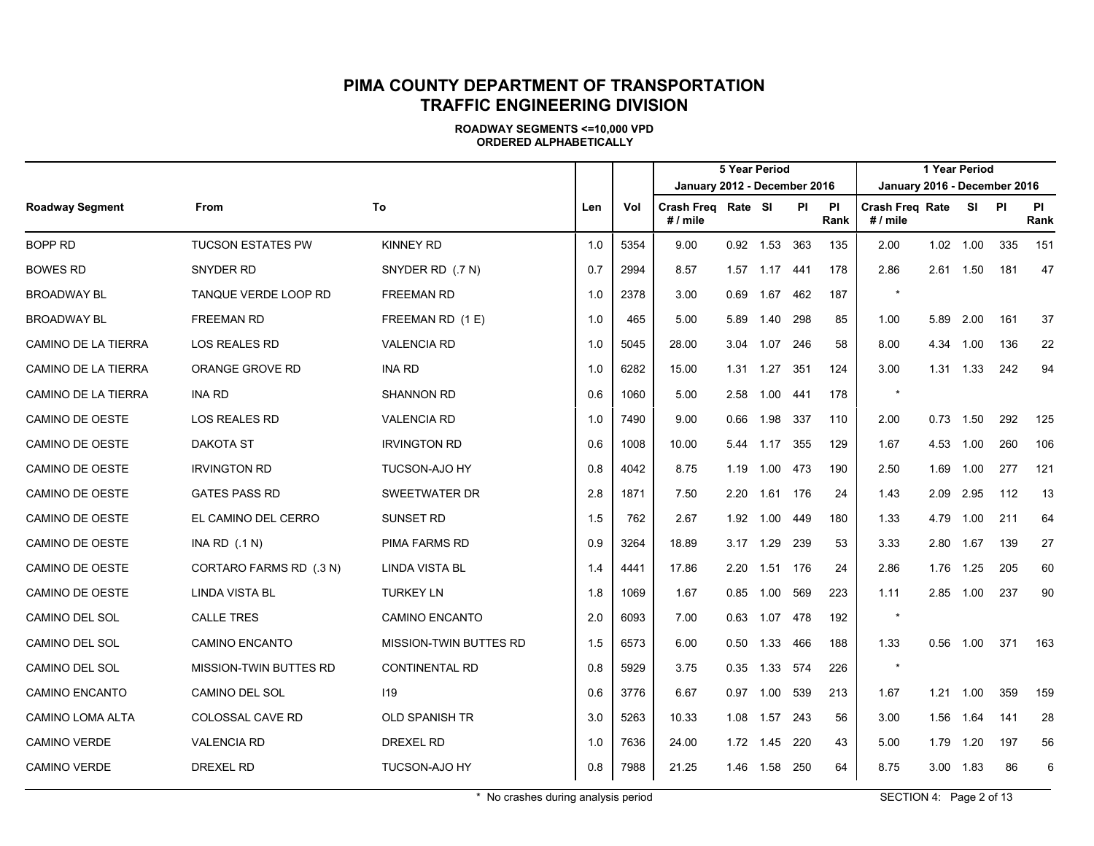|                            |                               |                               |     |      |                                  | <b>5 Year Period</b> |               |           |                   |                                    | 1 Year Period |           |     |                   |
|----------------------------|-------------------------------|-------------------------------|-----|------|----------------------------------|----------------------|---------------|-----------|-------------------|------------------------------------|---------------|-----------|-----|-------------------|
|                            |                               |                               |     |      | January 2012 - December 2016     |                      |               |           |                   | January 2016 - December 2016       |               |           |     |                   |
| <b>Roadway Segment</b>     | <b>From</b>                   | To                            | Len | Vol  | Crash Freq Rate SI<br>$# /$ mile |                      |               | <b>PI</b> | <b>PI</b><br>Rank | <b>Crash Freg Rate</b><br># / mile |               | SI PI     |     | <b>PI</b><br>Rank |
| BOPP RD                    | <b>TUCSON ESTATES PW</b>      | <b>KINNEY RD</b>              | 1.0 | 5354 | 9.00                             |                      | 0.92 1.53 363 |           | 135               | 2.00                               |               | 1.02 1.00 | 335 | 151               |
| <b>BOWES RD</b>            | SNYDER RD                     | SNYDER RD (.7 N)              | 0.7 | 2994 | 8.57                             | 1.57                 | 1.17          | 441       | 178               | 2.86                               | 2.61          | 1.50      | 181 | 47                |
| <b>BROADWAY BL</b>         | TANQUE VERDE LOOP RD          | <b>FREEMAN RD</b>             | 1.0 | 2378 | 3.00                             | 0.69                 | 1.67          | 462       | 187               | $\star$                            |               |           |     |                   |
| <b>BROADWAY BL</b>         | <b>FREEMAN RD</b>             | FREEMAN RD (1E)               | 1.0 | 465  | 5.00                             | 5.89                 | 1.40          | 298       | 85                | 1.00                               | 5.89          | 2.00      | 161 | 37                |
| <b>CAMINO DE LA TIERRA</b> | <b>LOS REALES RD</b>          | <b>VALENCIA RD</b>            | 1.0 | 5045 | 28.00                            | 3.04                 | 1.07          | 246       | 58                | 8.00                               | 4.34          | 1.00      | 136 | 22                |
| <b>CAMINO DE LA TIERRA</b> | ORANGE GROVE RD               | <b>INA RD</b>                 | 1.0 | 6282 | 15.00                            | 1.31                 | 1.27          | 351       | 124               | 3.00                               | 1.31          | 1.33      | 242 | 94                |
| <b>CAMINO DE LA TIERRA</b> | <b>INA RD</b>                 | <b>SHANNON RD</b>             | 0.6 | 1060 | 5.00                             | 2.58                 | 1.00          | 441       | 178               | $\star$                            |               |           |     |                   |
| <b>CAMINO DE OESTE</b>     | <b>LOS REALES RD</b>          | <b>VALENCIA RD</b>            | 1.0 | 7490 | 9.00                             | 0.66                 | 1.98          | 337       | 110               | 2.00                               | 0.73          | 1.50      | 292 | 125               |
| <b>CAMINO DE OESTE</b>     | <b>DAKOTA ST</b>              | <b>IRVINGTON RD</b>           | 0.6 | 1008 | 10.00                            | 5.44                 | 1.17          | 355       | 129               | 1.67                               | 4.53          | 1.00      | 260 | 106               |
| <b>CAMINO DE OESTE</b>     | <b>IRVINGTON RD</b>           | <b>TUCSON-AJO HY</b>          | 0.8 | 4042 | 8.75                             | 1.19                 | 1.00          | 473       | 190               | 2.50                               | 1.69          | 1.00      | 277 | 121               |
| CAMINO DE OESTE            | <b>GATES PASS RD</b>          | <b>SWEETWATER DR</b>          | 2.8 | 1871 | 7.50                             | 2.20                 | 1.61          | 176       | 24                | 1.43                               | 2.09          | 2.95      | 112 | 13                |
| CAMINO DE OESTE            | EL CAMINO DEL CERRO           | SUNSET RD                     | 1.5 | 762  | 2.67                             | 1.92                 | 1.00          | 449       | 180               | 1.33                               | 4.79          | 1.00      | 211 | 64                |
| CAMINO DE OESTE            | INA RD $(.1 N)$               | PIMA FARMS RD                 | 0.9 | 3264 | 18.89                            | 3.17                 | 1.29          | 239       | 53                | 3.33                               | 2.80          | 1.67      | 139 | 27                |
| CAMINO DE OESTE            | CORTARO FARMS RD (.3 N)       | LINDA VISTA BL                | 1.4 | 4441 | 17.86                            | 2.20                 | 1.51          | 176       | 24                | 2.86                               | 1.76          | 1.25      | 205 | 60                |
| CAMINO DE OESTE            | <b>LINDA VISTA BL</b>         | <b>TURKEY LN</b>              | 1.8 | 1069 | 1.67                             | 0.85                 | 1.00          | 569       | 223               | 1.11                               | 2.85          | 1.00      | 237 | 90                |
| <b>CAMINO DEL SOL</b>      | <b>CALLE TRES</b>             | <b>CAMINO ENCANTO</b>         | 2.0 | 6093 | 7.00                             | 0.63                 | 1.07          | 478       | 192               | $\star$                            |               |           |     |                   |
| <b>CAMINO DEL SOL</b>      | <b>CAMINO ENCANTO</b>         | <b>MISSION-TWIN BUTTES RD</b> | 1.5 | 6573 | 6.00                             | 0.50                 | 1.33          | 466       | 188               | 1.33                               | 0.56          | 1.00      | 371 | 163               |
| <b>CAMINO DEL SOL</b>      | <b>MISSION-TWIN BUTTES RD</b> | <b>CONTINENTAL RD</b>         | 0.8 | 5929 | 3.75                             | 0.35                 | 1.33          | 574       | 226               | $\star$                            |               |           |     |                   |
| <b>CAMINO ENCANTO</b>      | <b>CAMINO DEL SOL</b>         | 119                           | 0.6 | 3776 | 6.67                             | 0.97                 | 1.00          | 539       | 213               | 1.67                               | 1.21          | 1.00      | 359 | 159               |
| CAMINO LOMA ALTA           | COLOSSAL CAVE RD              | <b>OLD SPANISH TR</b>         | 3.0 | 5263 | 10.33                            | 1.08                 | 1.57          | 243       | 56                | 3.00                               | 1.56          | 1.64      | 141 | 28                |
| <b>CAMINO VERDE</b>        | <b>VALENCIA RD</b>            | <b>DREXEL RD</b>              | 1.0 | 7636 | 24.00                            | 1.72                 | 1.45          | 220       | 43                | 5.00                               | 1.79          | 1.20      | 197 | 56                |
| <b>CAMINO VERDE</b>        | <b>DREXEL RD</b>              | <b>TUCSON-AJO HY</b>          | 0.8 | 7988 | 21.25                            | 1.46                 | 1.58 250      |           | 64                | 8.75                               |               | 3.00 1.83 | 86  | 6                 |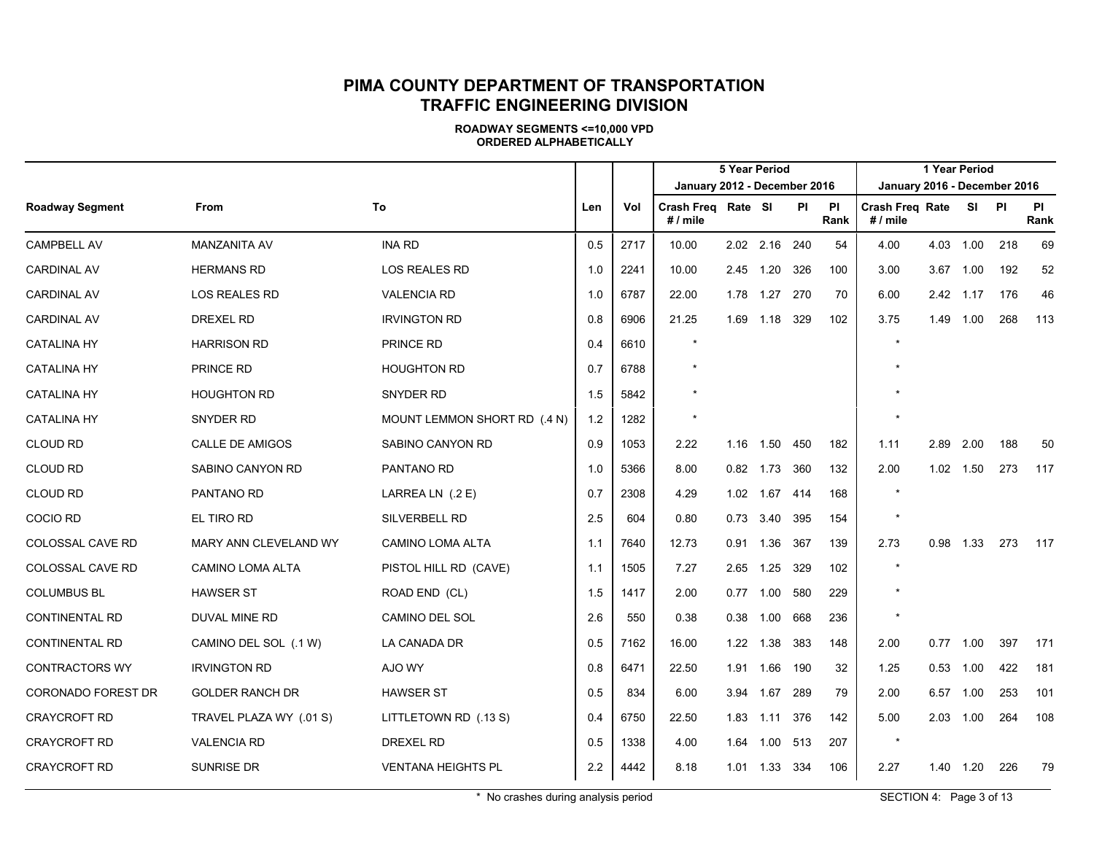|                        |                         |                              |     |      |                                  | <b>5 Year Period</b> |               |           |                   |                                      |      | 1 Year Period |     |            |
|------------------------|-------------------------|------------------------------|-----|------|----------------------------------|----------------------|---------------|-----------|-------------------|--------------------------------------|------|---------------|-----|------------|
|                        |                         |                              |     |      | January 2012 - December 2016     |                      |               |           |                   | January 2016 - December 2016         |      |               |     |            |
| <b>Roadway Segment</b> | From                    | To                           | Len | Vol  | Crash Freq Rate SI<br>$# /$ mile |                      |               | <b>PI</b> | <b>PI</b><br>Rank | <b>Crash Freq Rate</b><br>$# /$ mile |      | SI PI         |     | PI<br>Rank |
| <b>CAMPBELL AV</b>     | <b>MANZANITA AV</b>     | <b>INA RD</b>                | 0.5 | 2717 | 10.00                            |                      | 2.02 2.16 240 |           | 54                | 4.00                                 |      | 4.03 1.00     | 218 | 69         |
| <b>CARDINAL AV</b>     | <b>HERMANS RD</b>       | LOS REALES RD                | 1.0 | 2241 | 10.00                            | 2.45                 | 1.20          | 326       | 100               | 3.00                                 |      | 3.67 1.00     | 192 | 52         |
| <b>CARDINAL AV</b>     | <b>LOS REALES RD</b>    | <b>VALENCIA RD</b>           | 1.0 | 6787 | 22.00                            | 1.78                 | 1.27          | 270       | 70                | 6.00                                 |      | 2.42 1.17     | 176 | 46         |
| <b>CARDINAL AV</b>     | <b>DREXEL RD</b>        | <b>IRVINGTON RD</b>          | 0.8 | 6906 | 21.25                            | 1.69                 | 1.18 329      |           | 102               | 3.75                                 |      | 1.49 1.00     | 268 | 113        |
| <b>CATALINA HY</b>     | <b>HARRISON RD</b>      | <b>PRINCE RD</b>             | 0.4 | 6610 | $\star$                          |                      |               |           |                   | $\star$                              |      |               |     |            |
| <b>CATALINA HY</b>     | PRINCE RD               | <b>HOUGHTON RD</b>           | 0.7 | 6788 | $\star$                          |                      |               |           |                   | $\star$                              |      |               |     |            |
| <b>CATALINA HY</b>     | <b>HOUGHTON RD</b>      | SNYDER RD                    | 1.5 | 5842 | $\star$                          |                      |               |           |                   |                                      |      |               |     |            |
| <b>CATALINA HY</b>     | SNYDER RD               | MOUNT LEMMON SHORT RD (.4 N) | 1.2 | 1282 | $\star$                          |                      |               |           |                   | $\star$                              |      |               |     |            |
| <b>CLOUD RD</b>        | CALLE DE AMIGOS         | SABINO CANYON RD             | 0.9 | 1053 | 2.22                             | 1.16                 | 1.50 450      |           | 182               | 1.11                                 |      | 2.89 2.00     | 188 | 50         |
| <b>CLOUD RD</b>        | SABINO CANYON RD        | PANTANO RD                   | 1.0 | 5366 | 8.00                             | 0.82                 | 1.73          | 360       | 132               | 2.00                                 |      | 1.02 1.50     | 273 | 117        |
| <b>CLOUD RD</b>        | PANTANO RD              | LARREA LN (.2 E)             | 0.7 | 2308 | 4.29                             | 1.02                 | 1.67          | 414       | 168               | $\star$                              |      |               |     |            |
| <b>COCIO RD</b>        | EL TIRO RD              | SILVERBELL RD                | 2.5 | 604  | 0.80                             | 0.73                 | 3.40          | 395       | 154               | $\star$                              |      |               |     |            |
| COLOSSAL CAVE RD       | MARY ANN CLEVELAND WY   | <b>CAMINO LOMA ALTA</b>      | 1.1 | 7640 | 12.73                            | 0.91                 | 1.36          | 367       | 139               | 2.73                                 |      | 0.98 1.33     | 273 | 117        |
| COLOSSAL CAVE RD       | <b>CAMINO LOMA ALTA</b> | PISTOL HILL RD (CAVE)        | 1.1 | 1505 | 7.27                             | 2.65                 | 1.25          | 329       | 102               | $\star$                              |      |               |     |            |
| <b>COLUMBUS BL</b>     | <b>HAWSER ST</b>        | ROAD END (CL)                | 1.5 | 1417 | 2.00                             | 0.77                 | 1.00          | 580       | 229               |                                      |      |               |     |            |
| <b>CONTINENTAL RD</b>  | DUVAL MINE RD           | CAMINO DEL SOL               | 2.6 | 550  | 0.38                             | 0.38                 | 1.00          | 668       | 236               | $\star$                              |      |               |     |            |
| <b>CONTINENTAL RD</b>  | CAMINO DEL SOL (.1 W)   | LA CANADA DR                 | 0.5 | 7162 | 16.00                            | 1.22                 | 1.38          | 383       | 148               | 2.00                                 | 0.77 | 1.00          | 397 | 171        |
| <b>CONTRACTORS WY</b>  | <b>IRVINGTON RD</b>     | AJO WY                       | 0.8 | 6471 | 22.50                            | 1.91                 | 1.66          | 190       | 32                | 1.25                                 |      | $0.53$ 1.00   | 422 | 181        |
| CORONADO FOREST DR     | <b>GOLDER RANCH DR</b>  | <b>HAWSER ST</b>             | 0.5 | 834  | 6.00                             | 3.94                 | 1.67          | 289       | 79                | 2.00                                 | 6.57 | 1.00          | 253 | 101        |
| <b>CRAYCROFT RD</b>    | TRAVEL PLAZA WY (.01 S) | LITTLETOWN RD (.13 S)        | 0.4 | 6750 | 22.50                            | 1.83                 | 1.11          | 376       | 142               | 5.00                                 |      | 2.03 1.00     | 264 | 108        |
| <b>CRAYCROFT RD</b>    | <b>VALENCIA RD</b>      | <b>DREXEL RD</b>             | 0.5 | 1338 | 4.00                             | 1.64                 | 1.00          | 513       | 207               |                                      |      |               |     |            |
| <b>CRAYCROFT RD</b>    | <b>SUNRISE DR</b>       | <b>VENTANA HEIGHTS PL</b>    | 2.2 | 4442 | 8.18                             | 1.01                 | 1.33 334      |           | 106               | 2.27                                 |      | 1.40 1.20     | 226 | 79         |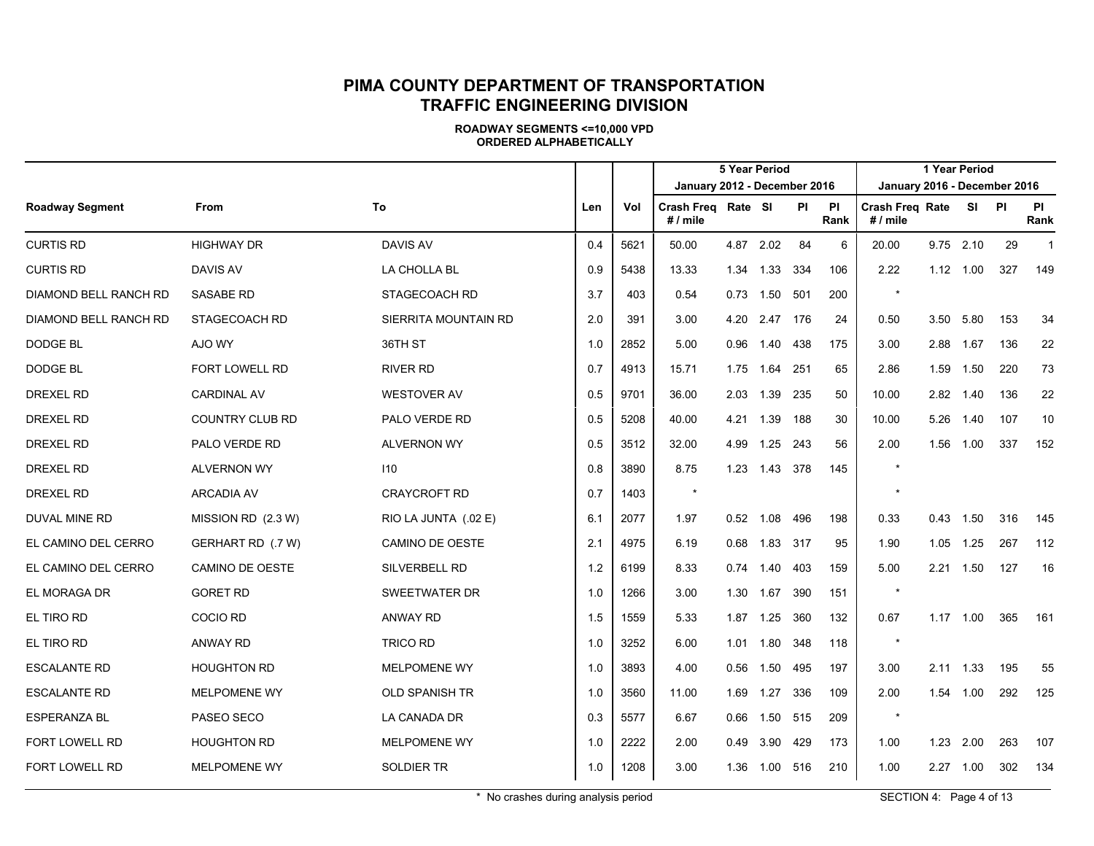|                        |                        |                       |     |      |                                | <b>5 Year Period</b> |          |           |            |                                    | 1 Year Period |           |     |                   |
|------------------------|------------------------|-----------------------|-----|------|--------------------------------|----------------------|----------|-----------|------------|------------------------------------|---------------|-----------|-----|-------------------|
|                        |                        |                       |     |      | January 2012 - December 2016   |                      |          |           |            | January 2016 - December 2016       |               |           |     |                   |
| <b>Roadway Segment</b> | From                   | To                    | Len | Vol  | Crash Freq Rate SI<br># / mile |                      |          | <b>PI</b> | PI<br>Rank | <b>Crash Freg Rate</b><br># / mile |               | SI PI     |     | <b>PI</b><br>Rank |
| <b>CURTIS RD</b>       | <b>HIGHWAY DR</b>      | <b>DAVIS AV</b>       | 0.4 | 5621 | 50.00                          | 4.87                 | 2.02     | 84        | 6          | 20.00                              |               | 9.75 2.10 | 29  | $\mathbf{1}$      |
| <b>CURTIS RD</b>       | <b>DAVIS AV</b>        | LA CHOLLA BL          | 0.9 | 5438 | 13.33                          | 1.34                 | 1.33     | 334       | 106        | 2.22                               |               | 1.12 1.00 | 327 | 149               |
| DIAMOND BELL RANCH RD  | <b>SASABE RD</b>       | <b>STAGECOACH RD</b>  | 3.7 | 403  | 0.54                           | 0.73                 | 1.50     | 501       | 200        | $\star$                            |               |           |     |                   |
| DIAMOND BELL RANCH RD  | <b>STAGECOACH RD</b>   | SIERRITA MOUNTAIN RD  | 2.0 | 391  | 3.00                           | 4.20                 | 2.47 176 |           | 24         | 0.50                               | 3.50          | 5.80      | 153 | 34                |
| <b>DODGE BL</b>        | AJO WY                 | 36TH ST               | 1.0 | 2852 | 5.00                           | 0.96                 | 1.40     | 438       | 175        | 3.00                               | 2.88          | 1.67      | 136 | 22                |
| <b>DODGE BL</b>        | FORT LOWELL RD         | <b>RIVER RD</b>       | 0.7 | 4913 | 15.71                          | 1.75                 | 1.64     | 251       | 65         | 2.86                               | 1.59          | 1.50      | 220 | 73                |
| <b>DREXEL RD</b>       | <b>CARDINAL AV</b>     | <b>WESTOVER AV</b>    | 0.5 | 9701 | 36.00                          | 2.03                 | 1.39     | 235       | 50         | 10.00                              | 2.82          | 1.40      | 136 | 22                |
| <b>DREXEL RD</b>       | <b>COUNTRY CLUB RD</b> | <b>PALO VERDE RD</b>  | 0.5 | 5208 | 40.00                          | 4.21                 | 1.39     | 188       | 30         | 10.00                              | 5.26          | 1.40      | 107 | 10                |
| <b>DREXEL RD</b>       | PALO VERDE RD          | <b>ALVERNON WY</b>    | 0.5 | 3512 | 32.00                          | 4.99                 | 1.25     | 243       | 56         | 2.00                               | 1.56          | 1.00      | 337 | 152               |
| <b>DREXEL RD</b>       | <b>ALVERNON WY</b>     | 110                   | 0.8 | 3890 | 8.75                           | 1.23                 | 1.43 378 |           | 145        | $\star$                            |               |           |     |                   |
| <b>DREXEL RD</b>       | <b>ARCADIA AV</b>      | <b>CRAYCROFT RD</b>   | 0.7 | 1403 | $\star$                        |                      |          |           |            | $\star$                            |               |           |     |                   |
| DUVAL MINE RD          | MISSION RD (2.3 W)     | RIO LA JUNTA (.02 E)  | 6.1 | 2077 | 1.97                           | 0.52                 | 1.08     | 496       | 198        | 0.33                               | 0.43          | 1.50      | 316 | 145               |
| EL CAMINO DEL CERRO    | GERHART RD (.7 W)      | CAMINO DE OESTE       | 2.1 | 4975 | 6.19                           | 0.68                 | 1.83     | 317       | 95         | 1.90                               | 1.05          | 1.25      | 267 | 112               |
| EL CAMINO DEL CERRO    | CAMINO DE OESTE        | SILVERBELL RD         | 1.2 | 6199 | 8.33                           | 0.74                 | 1.40     | 403       | 159        | 5.00                               |               | 2.21 1.50 | 127 | 16                |
| EL MORAGA DR           | <b>GORET RD</b>        | <b>SWEETWATER DR</b>  | 1.0 | 1266 | 3.00                           | 1.30                 | 1.67     | 390       | 151        | $\star$                            |               |           |     |                   |
| EL TIRO RD             | <b>COCIO RD</b>        | ANWAY RD              | 1.5 | 1559 | 5.33                           | 1.87                 | 1.25     | 360       | 132        | 0.67                               |               | 1.17 1.00 | 365 | 161               |
| EL TIRO RD             | <b>ANWAY RD</b>        | <b>TRICO RD</b>       | 1.0 | 3252 | 6.00                           | 1.01                 | 1.80     | 348       | 118        | $\star$                            |               |           |     |                   |
| <b>ESCALANTE RD</b>    | <b>HOUGHTON RD</b>     | <b>MELPOMENE WY</b>   | 1.0 | 3893 | 4.00                           | 0.56                 | 1.50     | 495       | 197        | 3.00                               | 2.11          | 1.33      | 195 | 55                |
| <b>ESCALANTE RD</b>    | <b>MELPOMENE WY</b>    | <b>OLD SPANISH TR</b> | 1.0 | 3560 | 11.00                          | 1.69                 | 1.27     | 336       | 109        | 2.00                               | 1.54          | 1.00      | 292 | 125               |
| <b>ESPERANZA BL</b>    | PASEO SECO             | LA CANADA DR          | 0.3 | 5577 | 6.67                           | 0.66                 | 1.50     | 515       | 209        | $\star$                            |               |           |     |                   |
| FORT LOWELL RD         | <b>HOUGHTON RD</b>     | <b>MELPOMENE WY</b>   | 1.0 | 2222 | 2.00                           | 0.49                 | 3.90     | 429       | 173        | 1.00                               | 1.23          | 2.00      | 263 | 107               |
| FORT LOWELL RD         | <b>MELPOMENE WY</b>    | <b>SOLDIER TR</b>     | 1.0 | 1208 | 3.00                           | 1.36                 | 1.00 516 |           | 210        | 1.00                               | 2.27          | 1.00      | 302 | 134               |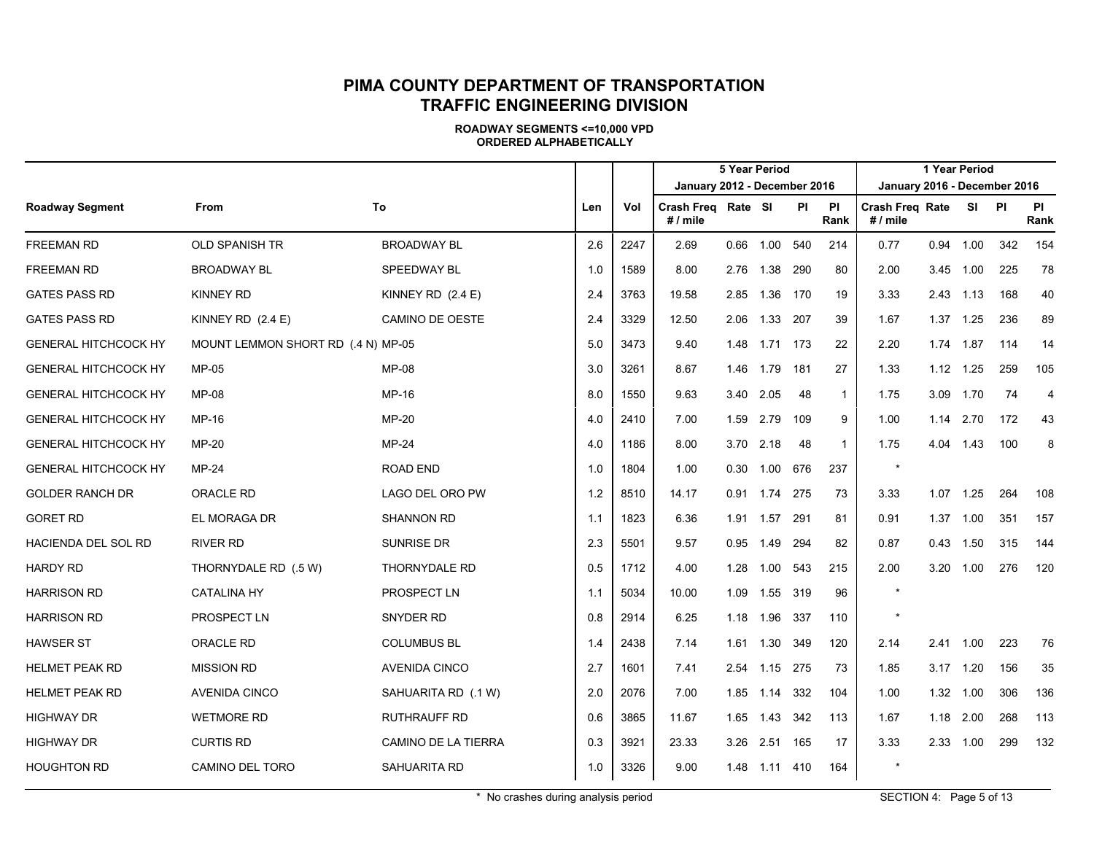|                             |                                    |                     |     |      |                                | <b>5 Year Period</b> |                 |           |                   |                                      | 1 Year Period |           |     |                   |
|-----------------------------|------------------------------------|---------------------|-----|------|--------------------------------|----------------------|-----------------|-----------|-------------------|--------------------------------------|---------------|-----------|-----|-------------------|
|                             |                                    |                     |     |      | January 2012 - December 2016   |                      |                 |           |                   | January 2016 - December 2016         |               |           |     |                   |
| <b>Roadway Segment</b>      | <b>From</b>                        | To                  | Len | Vol  | Crash Freq Rate SI<br># / mile |                      |                 | <b>PI</b> | <b>PI</b><br>Rank | <b>Crash Freg Rate</b><br>$# /$ mile |               | SI PI     |     | <b>PI</b><br>Rank |
| <b>FREEMAN RD</b>           | <b>OLD SPANISH TR</b>              | <b>BROADWAY BL</b>  | 2.6 | 2247 | 2.69                           | 0.66                 | 1.00            | 540       | 214               | 0.77                                 |               | 0.94 1.00 | 342 | 154               |
| <b>FREEMAN RD</b>           | <b>BROADWAY BL</b>                 | SPEEDWAY BL         | 1.0 | 1589 | 8.00                           | 2.76                 | 1.38            | 290       | 80                | 2.00                                 | 3.45          | 1.00      | 225 | 78                |
| <b>GATES PASS RD</b>        | <b>KINNEY RD</b>                   | KINNEY RD (2.4 E)   | 2.4 | 3763 | 19.58                          | 2.85                 | 1.36            | 170       | 19                | 3.33                                 | 2.43          | 1.13      | 168 | 40                |
| <b>GATES PASS RD</b>        | KINNEY RD (2.4 E)                  | CAMINO DE OESTE     | 2.4 | 3329 | 12.50                          | 2.06                 | 1.33 207        |           | 39                | 1.67                                 | 1.37          | 1.25      | 236 | 89                |
| <b>GENERAL HITCHCOCK HY</b> | MOUNT LEMMON SHORT RD (.4 N) MP-05 |                     | 5.0 | 3473 | 9.40                           | 1.48                 | 1.71            | 173       | 22                | 2.20                                 | 1.74          | 1.87      | 114 | 14                |
| <b>GENERAL HITCHCOCK HY</b> | MP-05                              | MP-08               | 3.0 | 3261 | 8.67                           | 1.46                 | 1.79            | 181       | 27                | 1.33                                 |               | 1.12 1.25 | 259 | 105               |
| <b>GENERAL HITCHCOCK HY</b> | <b>MP-08</b>                       | MP-16               | 8.0 | 1550 | 9.63                           | 3.40                 | 2.05            | 48        | $\mathbf{1}$      | 1.75                                 | 3.09          | 1.70      | 74  | $\overline{4}$    |
| <b>GENERAL HITCHCOCK HY</b> | MP-16                              | MP-20               | 4.0 | 2410 | 7.00                           | 1.59                 | 2.79            | 109       | 9                 | 1.00                                 |               | 1.14 2.70 | 172 | 43                |
| <b>GENERAL HITCHCOCK HY</b> | <b>MP-20</b>                       | MP-24               | 4.0 | 1186 | 8.00                           | 3.70                 | 2.18            | 48        | $\mathbf{1}$      | 1.75                                 |               | 4.04 1.43 | 100 | 8                 |
| <b>GENERAL HITCHCOCK HY</b> | MP-24                              | <b>ROAD END</b>     | 1.0 | 1804 | 1.00                           | 0.30                 | 1.00            | 676       | 237               | $\star$                              |               |           |     |                   |
| <b>GOLDER RANCH DR</b>      | ORACLE RD                          | LAGO DEL ORO PW     | 1.2 | 8510 | 14.17                          | 0.91                 | 1.74 275        |           | 73                | 3.33                                 | 1.07          | 1.25      | 264 | 108               |
| <b>GORET RD</b>             | EL MORAGA DR                       | SHANNON RD          | 1.1 | 1823 | 6.36                           | 1.91                 | 1.57            | 291       | 81                | 0.91                                 |               | 1.37 1.00 | 351 | 157               |
| HACIENDA DEL SOL RD         | <b>RIVER RD</b>                    | <b>SUNRISE DR</b>   | 2.3 | 5501 | 9.57                           | 0.95                 | 1.49            | 294       | 82                | 0.87                                 | 0.43          | 1.50      | 315 | 144               |
| <b>HARDY RD</b>             | THORNYDALE RD (.5 W)               | THORNYDALE RD       | 0.5 | 1712 | 4.00                           | 1.28                 | 1.00 543        |           | 215               | 2.00                                 |               | 3.20 1.00 | 276 | 120               |
| <b>HARRISON RD</b>          | <b>CATALINA HY</b>                 | PROSPECT LN         | 1.1 | 5034 | 10.00                          | 1.09                 | 1.55 319        |           | 96                | $\star$                              |               |           |     |                   |
| <b>HARRISON RD</b>          | PROSPECT LN                        | SNYDER RD           | 0.8 | 2914 | 6.25                           | 1.18                 | 1.96 337        |           | 110               |                                      |               |           |     |                   |
| <b>HAWSER ST</b>            | ORACLE RD                          | <b>COLUMBUS BL</b>  | 1.4 | 2438 | 7.14                           | 1.61                 | 1.30 349        |           | 120               | 2.14                                 | 2.41          | 1.00      | 223 | 76                |
| <b>HELMET PEAK RD</b>       | <b>MISSION RD</b>                  | AVENIDA CINCO       | 2.7 | 1601 | 7.41                           | 2.54                 | 1.15 275        |           | 73                | 1.85                                 |               | 3.17 1.20 | 156 | 35                |
| <b>HELMET PEAK RD</b>       | <b>AVENIDA CINCO</b>               | SAHUARITA RD (.1 W) | 2.0 | 2076 | 7.00                           | 1.85                 | 1.14 332        |           | 104               | 1.00                                 |               | 1.32 1.00 | 306 | 136               |
| <b>HIGHWAY DR</b>           | <b>WETMORE RD</b>                  | RUTHRAUFF RD        | 0.6 | 3865 | 11.67                          | 1.65                 | 1.43 342        |           | 113               | 1.67                                 |               | 1.18 2.00 | 268 | 113               |
| <b>HIGHWAY DR</b>           | <b>CURTIS RD</b>                   | CAMINO DE LA TIERRA | 0.3 | 3921 | 23.33                          | 3.26                 | 2.51            | 165       | 17                | 3.33                                 |               | 2.33 1.00 | 299 | 132               |
| <b>HOUGHTON RD</b>          | CAMINO DEL TORO                    | <b>SAHUARITA RD</b> | 1.0 | 3326 | 9.00                           |                      | 1.48  1.11  410 |           | 164               | $\star$                              |               |           |     |                   |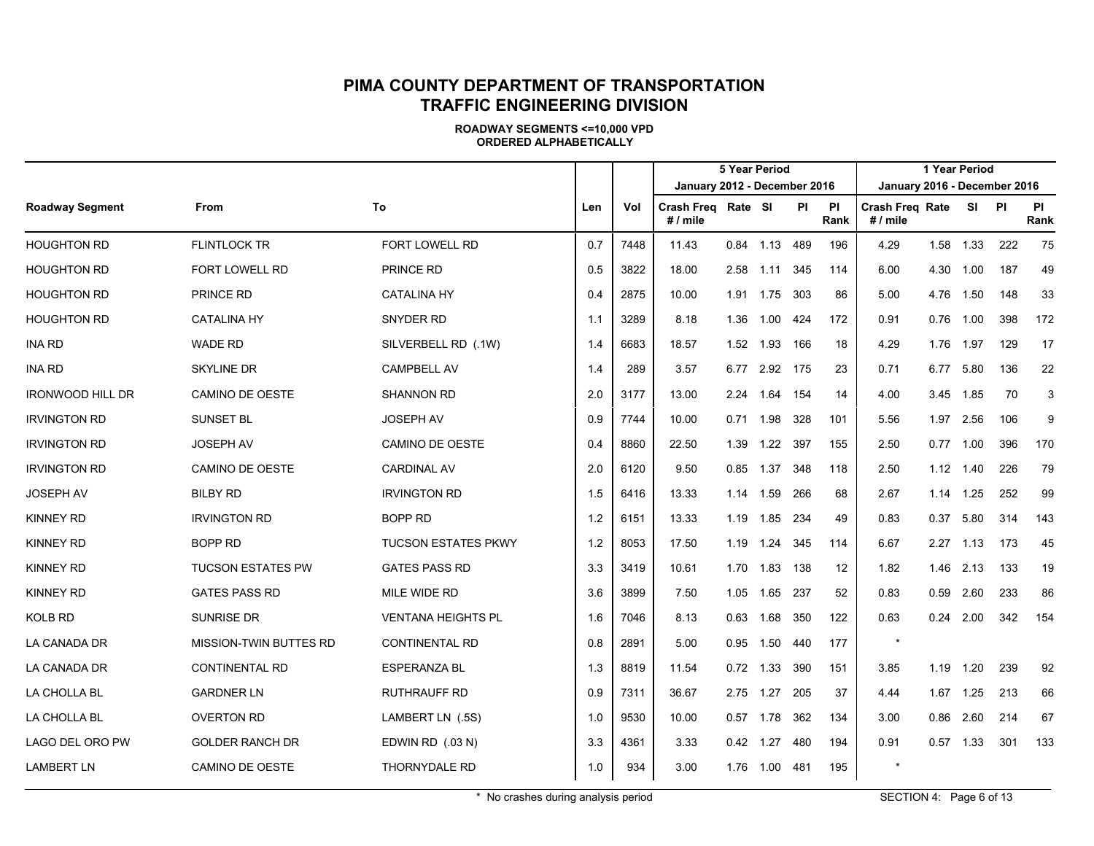|                         |                          |                            |     |      |                                  | <b>5 Year Period</b> |           |     |                   |                                      |      | 1 Year Period |     |                   |
|-------------------------|--------------------------|----------------------------|-----|------|----------------------------------|----------------------|-----------|-----|-------------------|--------------------------------------|------|---------------|-----|-------------------|
|                         |                          |                            |     |      | January 2012 - December 2016     |                      |           |     |                   | January 2016 - December 2016         |      |               |     |                   |
| <b>Roadway Segment</b>  | <b>From</b>              | To                         | Len | Vol  | Crash Freq Rate SI<br>$# /$ mile |                      |           | PI  | <b>PI</b><br>Rank | <b>Crash Freg Rate</b><br>$# /$ mile |      | SI PI         |     | <b>PI</b><br>Rank |
| <b>HOUGHTON RD</b>      | <b>FLINTLOCK TR</b>      | FORT LOWELL RD             | 0.7 | 7448 | 11.43                            | 0.84                 | 1.13 489  |     | 196               | 4.29                                 | 1.58 | 1.33          | 222 | 75                |
| <b>HOUGHTON RD</b>      | FORT LOWELL RD           | PRINCE RD                  | 0.5 | 3822 | 18.00                            | 2.58                 | 1.11      | 345 | 114               | 6.00                                 | 4.30 | 1.00          | 187 | 49                |
| <b>HOUGHTON RD</b>      | PRINCE RD                | <b>CATALINA HY</b>         | 0.4 | 2875 | 10.00                            | 1.91                 | 1.75 303  |     | 86                | 5.00                                 | 4.76 | 1.50          | 148 | 33                |
| <b>HOUGHTON RD</b>      | <b>CATALINA HY</b>       | SNYDER RD                  | 1.1 | 3289 | 8.18                             | 1.36                 | 1.00      | 424 | 172               | 0.91                                 |      | $0.76$ 1.00   | 398 | 172               |
| <b>INA RD</b>           | <b>WADE RD</b>           | SILVERBELL RD (.1W)        | 1.4 | 6683 | 18.57                            | 1.52                 | 1.93      | 166 | 18                | 4.29                                 | 1.76 | 1.97          | 129 | 17                |
| <b>INA RD</b>           | <b>SKYLINE DR</b>        | <b>CAMPBELL AV</b>         | 1.4 | 289  | 3.57                             | 6.77                 | 2.92 175  |     | 23                | 0.71                                 |      | 6.77 5.80     | 136 | 22                |
| <b>IRONWOOD HILL DR</b> | CAMINO DE OESTE          | <b>SHANNON RD</b>          | 2.0 | 3177 | 13.00                            | 2.24                 | 1.64 154  |     | 14                | 4.00                                 |      | 3.45 1.85     | 70  | 3                 |
| <b>IRVINGTON RD</b>     | SUNSET BL                | <b>JOSEPH AV</b>           | 0.9 | 7744 | 10.00                            |                      | 0.71 1.98 | 328 | 101               | 5.56                                 |      | 1.97 2.56     | 106 | 9                 |
| <b>IRVINGTON RD</b>     | <b>JOSEPH AV</b>         | <b>CAMINO DE OESTE</b>     | 0.4 | 8860 | 22.50                            | 1.39                 | 1.22      | 397 | 155               | 2.50                                 |      | $0.77$ 1.00   | 396 | 170               |
| <b>IRVINGTON RD</b>     | CAMINO DE OESTE          | <b>CARDINAL AV</b>         | 2.0 | 6120 | 9.50                             | 0.85                 | 1.37      | 348 | 118               | 2.50                                 |      | 1.12 1.40     | 226 | 79                |
| JOSEPH AV               | <b>BILBY RD</b>          | <b>IRVINGTON RD</b>        | 1.5 | 6416 | 13.33                            | 1.14                 | 1.59      | 266 | 68                | 2.67                                 | 1.14 | 1.25          | 252 | 99                |
| <b>KINNEY RD</b>        | <b>IRVINGTON RD</b>      | <b>BOPP RD</b>             | 1.2 | 6151 | 13.33                            | 1.19                 | 1.85 234  |     | 49                | 0.83                                 |      | 0.37 5.80     | 314 | 143               |
| <b>KINNEY RD</b>        | <b>BOPP RD</b>           | <b>TUCSON ESTATES PKWY</b> | 1.2 | 8053 | 17.50                            | 1.19                 | 1.24      | 345 | 114               | 6.67                                 | 2.27 | 1.13          | 173 | 45                |
| <b>KINNEY RD</b>        | <b>TUCSON ESTATES PW</b> | <b>GATES PASS RD</b>       | 3.3 | 3419 | 10.61                            | 1.70                 | 1.83 138  |     | 12                | 1.82                                 |      | 1.46 2.13     | 133 | 19                |
| <b>KINNEY RD</b>        | <b>GATES PASS RD</b>     | MILE WIDE RD               | 3.6 | 3899 | 7.50                             | 1.05                 | 1.65 237  |     | 52                | 0.83                                 | 0.59 | 2.60          | 233 | 86                |
| <b>KOLB RD</b>          | <b>SUNRISE DR</b>        | <b>VENTANA HEIGHTS PL</b>  | 1.6 | 7046 | 8.13                             | 0.63                 | 1.68 350  |     | 122               | 0.63                                 | 0.24 | 2.00          | 342 | 154               |
| LA CANADA DR            | MISSION-TWIN BUTTES RD   | <b>CONTINENTAL RD</b>      | 0.8 | 2891 | 5.00                             | 0.95                 | 1.50      | 440 | 177               | $\star$                              |      |               |     |                   |
| LA CANADA DR            | <b>CONTINENTAL RD</b>    | <b>ESPERANZA BL</b>        | 1.3 | 8819 | 11.54                            | 0.72                 | 1.33      | 390 | 151               | 3.85                                 |      | 1.19 1.20     | 239 | 92                |
| LA CHOLLA BL            | <b>GARDNER LN</b>        | <b>RUTHRAUFF RD</b>        | 0.9 | 7311 | 36.67                            | 2.75                 | 1.27      | 205 | 37                | 4.44                                 |      | 1.67 1.25     | 213 | 66                |
| LA CHOLLA BL            | <b>OVERTON RD</b>        | LAMBERT LN (.5S)           | 1.0 | 9530 | 10.00                            | 0.57                 | 1.78 362  |     | 134               | 3.00                                 |      | 0.86 2.60     | 214 | 67                |
| LAGO DEL ORO PW         | <b>GOLDER RANCH DR</b>   | EDWIN RD (.03 N)           | 3.3 | 4361 | 3.33                             | 0.42                 | 1.27      | 480 | 194               | 0.91                                 |      | $0.57$ 1.33   | 301 | 133               |
| <b>LAMBERT LN</b>       | CAMINO DE OESTE          | THORNYDALE RD              | 1.0 | 934  | 3.00                             | 1.76                 | 1.00 481  |     | 195               | $\star$                              |      |               |     |                   |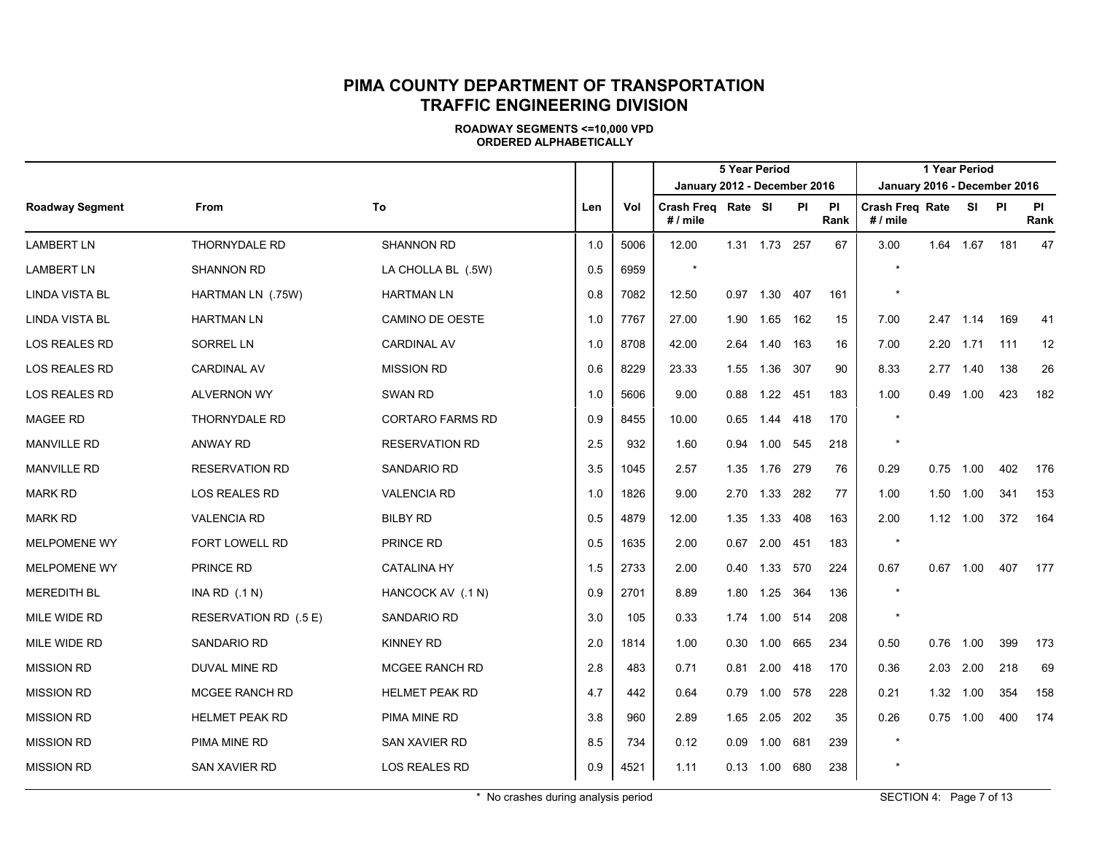|                        |                       |                         |     |      |                                | <b>5 Year Period</b> |                 |           |                   |                                      |      | 1 Year Period |     |            |
|------------------------|-----------------------|-------------------------|-----|------|--------------------------------|----------------------|-----------------|-----------|-------------------|--------------------------------------|------|---------------|-----|------------|
|                        |                       |                         |     |      | January 2012 - December 2016   |                      |                 |           |                   | January 2016 - December 2016         |      |               |     |            |
| <b>Roadway Segment</b> | From                  | To                      | Len | Vol  | Crash Freq Rate SI<br># / mile |                      |                 | <b>PI</b> | <b>PI</b><br>Rank | <b>Crash Freg Rate</b><br>$# /$ mile |      | SI PI         |     | PI<br>Rank |
| <b>LAMBERT LN</b>      | THORNYDALE RD         | <b>SHANNON RD</b>       | 1.0 | 5006 | 12.00                          |                      | 1.31 1.73 257   |           | 67                | 3.00                                 |      | 1.64 1.67     | 181 | 47         |
| <b>LAMBERT LN</b>      | <b>SHANNON RD</b>     | LA CHOLLA BL (.5W)      | 0.5 | 6959 |                                |                      |                 |           |                   |                                      |      |               |     |            |
| LINDA VISTA BL         | HARTMAN LN (.75W)     | <b>HARTMAN LN</b>       | 0.8 | 7082 | 12.50                          |                      | 0.97 1.30 407   |           | 161               |                                      |      |               |     |            |
| <b>LINDA VISTA BL</b>  | <b>HARTMAN LN</b>     | <b>CAMINO DE OESTE</b>  | 1.0 | 7767 | 27.00                          |                      | 1.90  1.65  162 |           | 15                | 7.00                                 |      | 2.47 1.14     | 169 | 41         |
| <b>LOS REALES RD</b>   | <b>SORREL LN</b>      | <b>CARDINAL AV</b>      | 1.0 | 8708 | 42.00                          | 2.64                 | 1.40            | 163       | 16                | 7.00                                 | 2.20 | 1.71          | 111 | 12         |
| <b>LOS REALES RD</b>   | <b>CARDINAL AV</b>    | <b>MISSION RD</b>       | 0.6 | 8229 | 23.33                          |                      | 1.55 1.36 307   |           | 90                | 8.33                                 |      | 2.77 1.40     | 138 | 26         |
| <b>LOS REALES RD</b>   | <b>ALVERNON WY</b>    | <b>SWAN RD</b>          | 1.0 | 5606 | 9.00                           | 0.88                 | 1.22 451        |           | 183               | 1.00                                 | 0.49 | 1.00          | 423 | 182        |
| <b>MAGEE RD</b>        | <b>THORNYDALE RD</b>  | <b>CORTARO FARMS RD</b> | 0.9 | 8455 | 10.00                          | 0.65                 | 1.44 418        |           | 170               |                                      |      |               |     |            |
| <b>MANVILLE RD</b>     | <b>ANWAY RD</b>       | <b>RESERVATION RD</b>   | 2.5 | 932  | 1.60                           | 0.94                 | 1.00 545        |           | 218               |                                      |      |               |     |            |
| MANVILLE RD            | <b>RESERVATION RD</b> | <b>SANDARIO RD</b>      | 3.5 | 1045 | 2.57                           |                      | 1.35 1.76 279   |           | 76                | 0.29                                 |      | $0.75$ 1.00   | 402 | 176        |
| <b>MARK RD</b>         | <b>LOS REALES RD</b>  | <b>VALENCIA RD</b>      | 1.0 | 1826 | 9.00                           | 2.70                 | 1.33 282        |           | 77                | 1.00                                 | 1.50 | 1.00          | 341 | 153        |
| <b>MARK RD</b>         | <b>VALENCIA RD</b>    | <b>BILBY RD</b>         | 0.5 | 4879 | 12.00                          |                      | 1.35 1.33 408   |           | 163               | 2.00                                 |      | 1.12 1.00     | 372 | 164        |
| MELPOMENE WY           | FORT LOWELL RD        | PRINCE RD               | 0.5 | 1635 | 2.00                           | 0.67                 | 2.00            | 451       | 183               | $\star$                              |      |               |     |            |
| MELPOMENE WY           | PRINCE RD             | <b>CATALINA HY</b>      | 1.5 | 2733 | 2.00                           |                      | 0.40 1.33 570   |           | 224               | 0.67                                 |      | $0.67$ 1.00   | 407 | 177        |
| <b>MEREDITH BL</b>     | INA RD $(.1 N)$       | HANCOCK AV (.1 N)       | 0.9 | 2701 | 8.89                           | 1.80                 | 1.25            | 364       | 136               |                                      |      |               |     |            |
| MILE WIDE RD           | RESERVATION RD (.5 E) | SANDARIO RD             | 3.0 | 105  | 0.33                           | 1.74                 | 1.00 514        |           | 208               |                                      |      |               |     |            |
| MILE WIDE RD           | SANDARIO RD           | <b>KINNEY RD</b>        | 2.0 | 1814 | 1.00                           | 0.30                 | 1.00            | 665       | 234               | 0.50                                 | 0.76 | 1.00          | 399 | 173        |
| <b>MISSION RD</b>      | DUVAL MINE RD         | MCGEE RANCH RD          | 2.8 | 483  | 0.71                           |                      | 0.81 2.00 418   |           | 170               | 0.36                                 |      | 2.03 2.00     | 218 | 69         |
| <b>MISSION RD</b>      | MCGEE RANCH RD        | <b>HELMET PEAK RD</b>   | 4.7 | 442  | 0.64                           | 0.79                 | 1.00            | 578       | 228               | 0.21                                 |      | 1.32 1.00     | 354 | 158        |
| <b>MISSION RD</b>      | <b>HELMET PEAK RD</b> | PIMA MINE RD            | 3.8 | 960  | 2.89                           | 1.65                 | 2.05 202        |           | 35                | 0.26                                 |      | $0.75$ 1.00   | 400 | 174        |
| <b>MISSION RD</b>      | PIMA MINE RD          | <b>SAN XAVIER RD</b>    | 8.5 | 734  | 0.12                           | 0.09                 | 1.00            | 681       | 239               | $\star$                              |      |               |     |            |
| <b>MISSION RD</b>      | SAN XAVIER RD         | LOS REALES RD           | 0.9 | 4521 | 1.11                           |                      | 0.13 1.00 680   |           | 238               |                                      |      |               |     |            |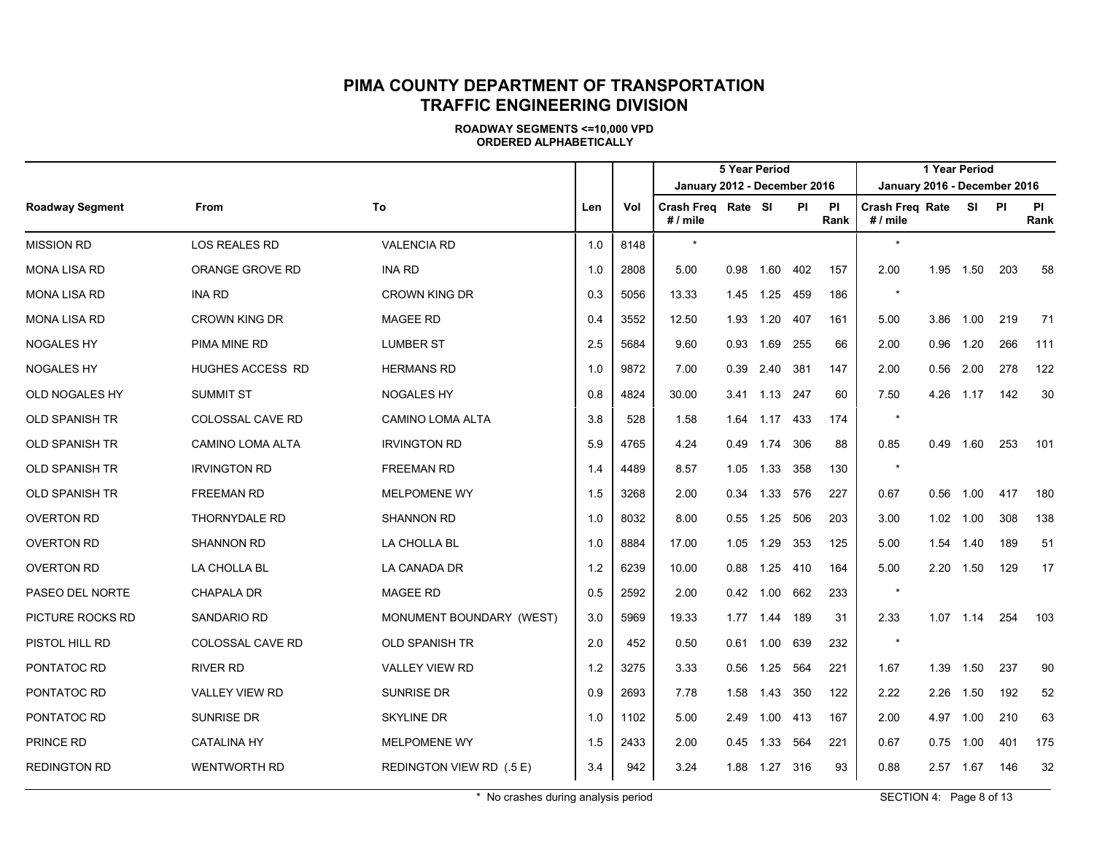|                        |                         |                          |            |      |                                | <b>5 Year Period</b> |          |           |                   |                                    | 1 Year Period |             |     |                   |
|------------------------|-------------------------|--------------------------|------------|------|--------------------------------|----------------------|----------|-----------|-------------------|------------------------------------|---------------|-------------|-----|-------------------|
|                        |                         |                          |            |      | January 2012 - December 2016   |                      |          |           |                   | January 2016 - December 2016       |               |             |     |                   |
| <b>Roadway Segment</b> | From                    | To                       | <b>Len</b> | Vol  | Crash Freq Rate SI<br># / mile |                      |          | <b>PI</b> | <b>PI</b><br>Rank | <b>Crash Freq Rate</b><br># / mile |               | SI PI       |     | <b>PI</b><br>Rank |
| <b>MISSION RD</b>      | LOS REALES RD           | <b>VALENCIA RD</b>       | 1.0        | 8148 | $\star$                        |                      |          |           |                   | $\star$                            |               |             |     |                   |
| <b>MONA LISA RD</b>    | ORANGE GROVE RD         | <b>INA RD</b>            | 1.0        | 2808 | 5.00                           | 0.98                 | 1.60     | 402       | 157               | 2.00                               |               | 1.95 1.50   | 203 | 58                |
| <b>MONA LISA RD</b>    | <b>INA RD</b>           | <b>CROWN KING DR</b>     | 0.3        | 5056 | 13.33                          | 1.45                 | 1.25     | 459       | 186               | $\star$                            |               |             |     |                   |
| <b>MONA LISA RD</b>    | <b>CROWN KING DR</b>    | <b>MAGEE RD</b>          | 0.4        | 3552 | 12.50                          | 1.93                 | 1.20     | 407       | 161               | 5.00                               | 3.86          | 1.00        | 219 | 71                |
| <b>NOGALES HY</b>      | PIMA MINE RD            | <b>LUMBER ST</b>         | 2.5        | 5684 | 9.60                           | 0.93                 | 1.69     | 255       | 66                | 2.00                               | 0.96          | 1.20        | 266 | 111               |
| NOGALES HY             | HUGHES ACCESS RD        | <b>HERMANS RD</b>        | 1.0        | 9872 | 7.00                           | 0.39                 | 2.40     | 381       | 147               | 2.00                               | 0.56          | 2.00        | 278 | 122               |
| OLD NOGALES HY         | <b>SUMMIT ST</b>        | <b>NOGALES HY</b>        | 0.8        | 4824 | 30.00                          | 3.41                 | 1.13 247 |           | 60                | 7.50                               | 4.26          | 1.17        | 142 | 30                |
| <b>OLD SPANISH TR</b>  | <b>COLOSSAL CAVE RD</b> | <b>CAMINO LOMA ALTA</b>  | 3.8        | 528  | 1.58                           | 1.64                 | 1.17     | 433       | 174               | $\star$                            |               |             |     |                   |
| <b>OLD SPANISH TR</b>  | <b>CAMINO LOMA ALTA</b> | <b>IRVINGTON RD</b>      | 5.9        | 4765 | 4.24                           | 0.49                 | 1.74     | 306       | 88                | 0.85                               |               | 0.49 1.60   | 253 | 101               |
| <b>OLD SPANISH TR</b>  | <b>IRVINGTON RD</b>     | <b>FREEMAN RD</b>        | 1.4        | 4489 | 8.57                           | 1.05                 | 1.33     | 358       | 130               | $\star$                            |               |             |     |                   |
| OLD SPANISH TR         | <b>FREEMAN RD</b>       | <b>MELPOMENE WY</b>      | 1.5        | 3268 | 2.00                           | 0.34                 | 1.33     | 576       | 227               | 0.67                               | 0.56          | 1.00        | 417 | 180               |
| <b>OVERTON RD</b>      | <b>THORNYDALE RD</b>    | <b>SHANNON RD</b>        | 1.0        | 8032 | 8.00                           | 0.55                 | 1.25     | 506       | 203               | 3.00                               |               | 1.02 1.00   | 308 | 138               |
| <b>OVERTON RD</b>      | SHANNON RD              | LA CHOLLA BL             | 1.0        | 8884 | 17.00                          | 1.05                 | 1.29     | 353       | 125               | 5.00                               | 1.54          | 1.40        | 189 | 51                |
| <b>OVERTON RD</b>      | LA CHOLLA BL            | LA CANADA DR             | 1.2        | 6239 | 10.00                          | 0.88                 | 1.25 410 |           | 164               | 5.00                               |               | 2.20 1.50   | 129 | 17                |
| PASEO DEL NORTE        | <b>CHAPALA DR</b>       | <b>MAGEE RD</b>          | 0.5        | 2592 | 2.00                           | 0.42                 | 1.00     | 662       | 233               | $\star$                            |               |             |     |                   |
| PICTURE ROCKS RD       | SANDARIO RD             | MONUMENT BOUNDARY (WEST) | 3.0        | 5969 | 19.33                          | 1.77                 | 1.44     | 189       | 31                | 2.33                               |               | $1.07$ 1.14 | 254 | 103               |
| PISTOL HILL RD         | COLOSSAL CAVE RD        | <b>OLD SPANISH TR</b>    | 2.0        | 452  | 0.50                           | 0.61                 | 1.00     | 639       | 232               | $\star$                            |               |             |     |                   |
| PONTATOC RD            | <b>RIVER RD</b>         | <b>VALLEY VIEW RD</b>    | 1.2        | 3275 | 3.33                           | 0.56                 | 1.25     | 564       | 221               | 1.67                               | 1.39          | 1.50        | 237 | 90                |
| PONTATOC RD            | <b>VALLEY VIEW RD</b>   | <b>SUNRISE DR</b>        | 0.9        | 2693 | 7.78                           | 1.58                 | 1.43     | 350       | 122               | 2.22                               | 2.26          | 1.50        | 192 | 52                |
| PONTATOC RD            | <b>SUNRISE DR</b>       | <b>SKYLINE DR</b>        | 1.0        | 1102 | 5.00                           | 2.49                 | 1.00 413 |           | 167               | 2.00                               | 4.97          | 1.00        | 210 | 63                |
| PRINCE RD              | <b>CATALINA HY</b>      | MELPOMENE WY             | 1.5        | 2433 | 2.00                           | 0.45                 | 1.33     | 564       | 221               | 0.67                               | 0.75          | 1.00        | 401 | 175               |
| <b>REDINGTON RD</b>    | <b>WENTWORTH RD</b>     | REDINGTON VIEW RD (.5 E) | 3.4        | 942  | 3.24                           | 1.88                 | 1.27 316 |           | 93                | 0.88                               |               | 2.57 1.67   | 146 | 32                |
|                        |                         |                          |            |      |                                |                      |          |           |                   |                                    |               |             |     |                   |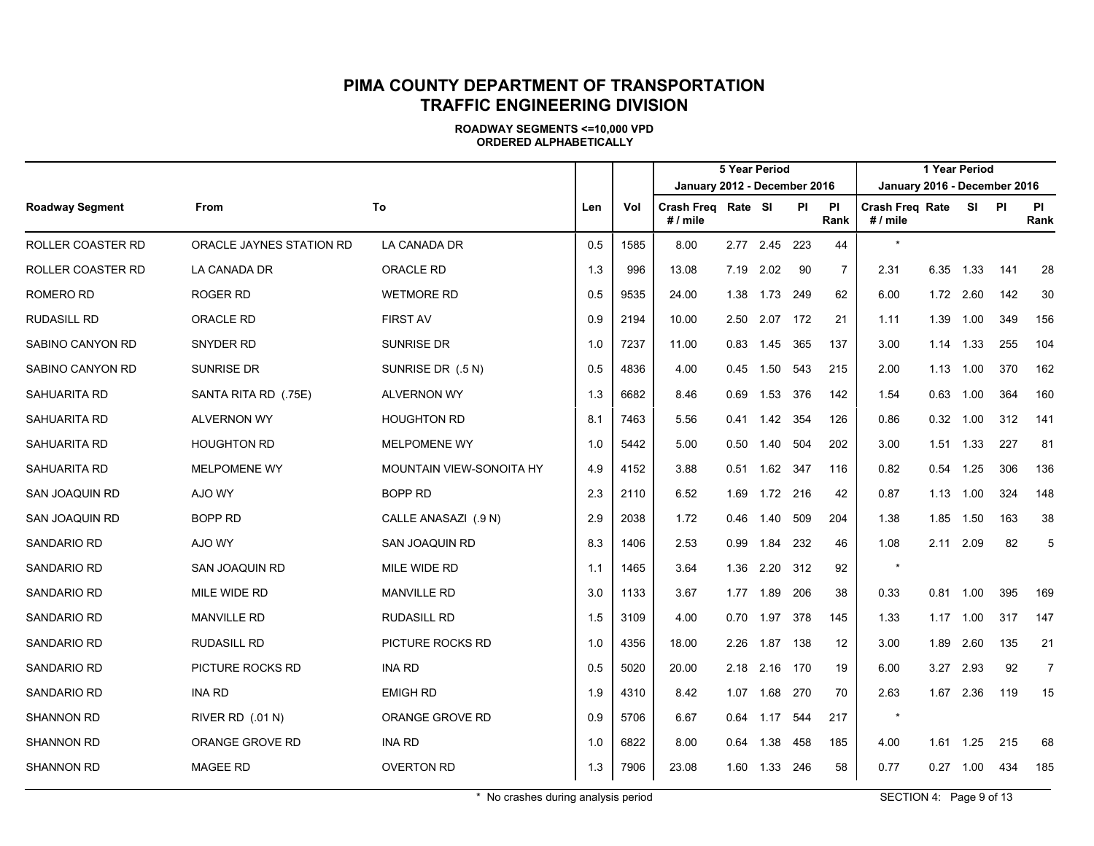|                        |                          |                                 |     |      |                                       | <b>5 Year Period</b> |               |           |                |                                    | 1 Year Period |             |     |                   |
|------------------------|--------------------------|---------------------------------|-----|------|---------------------------------------|----------------------|---------------|-----------|----------------|------------------------------------|---------------|-------------|-----|-------------------|
|                        |                          |                                 |     |      | January 2012 - December 2016          |                      |               |           |                | January 2016 - December 2016       |               |             |     |                   |
| <b>Roadway Segment</b> | <b>From</b>              | To                              | Len | Vol  | Crash Freq Rate SI<br># $\prime$ mile |                      |               | <b>PI</b> | PI<br>Rank     | <b>Crash Freg Rate</b><br># / mile |               | SI PI       |     | <b>PI</b><br>Rank |
| ROLLER COASTER RD      | ORACLE JAYNES STATION RD | LA CANADA DR                    | 0.5 | 1585 | 8.00                                  |                      | 2.77 2.45 223 |           | 44             | $\star$                            |               |             |     |                   |
| ROLLER COASTER RD      | LA CANADA DR             | <b>ORACLE RD</b>                | 1.3 | 996  | 13.08                                 | 7.19                 | 2.02          | 90        | $\overline{7}$ | 2.31                               | 6.35          | 1.33        | 141 | 28                |
| <b>ROMERO RD</b>       | <b>ROGER RD</b>          | <b>WETMORE RD</b>               | 0.5 | 9535 | 24.00                                 | 1.38                 | 1.73          | 249       | 62             | 6.00                               | 1.72 2.60     |             | 142 | 30                |
| <b>RUDASILL RD</b>     | ORACLE RD                | <b>FIRST AV</b>                 | 0.9 | 2194 | 10.00                                 | 2.50                 | 2.07          | 172       | 21             | 1.11                               | 1.39          | 1.00        | 349 | 156               |
| SABINO CANYON RD       | SNYDER RD                | <b>SUNRISE DR</b>               | 1.0 | 7237 | 11.00                                 | 0.83                 | 1.45          | 365       | 137            | 3.00                               |               | 1.14 1.33   | 255 | 104               |
| SABINO CANYON RD       | <b>SUNRISE DR</b>        | SUNRISE DR (.5 N)               | 0.5 | 4836 | 4.00                                  | 0.45                 | 1.50          | 543       | 215            | 2.00                               | 1.13          | 1.00        | 370 | 162               |
| <b>SAHUARITA RD</b>    | SANTA RITA RD (.75E)     | <b>ALVERNON WY</b>              | 1.3 | 6682 | 8.46                                  | 0.69                 | 1.53          | 376       | 142            | 1.54                               | 0.63          | 1.00        | 364 | 160               |
| <b>SAHUARITA RD</b>    | <b>ALVERNON WY</b>       | <b>HOUGHTON RD</b>              | 8.1 | 7463 | 5.56                                  | 0.41                 | 1.42          | 354       | 126            | 0.86                               | 0.32          | 1.00        | 312 | 141               |
| SAHUARITA RD           | <b>HOUGHTON RD</b>       | MELPOMENE WY                    | 1.0 | 5442 | 5.00                                  | 0.50                 | 1.40          | 504       | 202            | 3.00                               |               | 1.51 1.33   | 227 | 81                |
| SAHUARITA RD           | <b>MELPOMENE WY</b>      | <b>MOUNTAIN VIEW-SONOITA HY</b> | 4.9 | 4152 | 3.88                                  | 0.51                 | 1.62          | -347      | 116            | 0.82                               | 0.54          | 1.25        | 306 | 136               |
| <b>SAN JOAQUIN RD</b>  | AJO WY                   | <b>BOPP RD</b>                  | 2.3 | 2110 | 6.52                                  | 1.69                 | 1.72 216      |           | 42             | 0.87                               | 1.13          | 1.00        | 324 | 148               |
| SAN JOAQUIN RD         | <b>BOPP RD</b>           | CALLE ANASAZI (.9 N)            | 2.9 | 2038 | 1.72                                  | 0.46                 | 1.40          | 509       | 204            | 1.38                               | 1.85          | 1.50        | 163 | 38                |
| <b>SANDARIO RD</b>     | AJO WY                   | SAN JOAQUIN RD                  | 8.3 | 1406 | 2.53                                  | 0.99                 | 1.84          | 232       | 46             | 1.08                               | 2.11 2.09     |             | 82  | 5                 |
| <b>SANDARIO RD</b>     | <b>SAN JOAQUIN RD</b>    | MILE WIDE RD                    | 1.1 | 1465 | 3.64                                  | 1.36                 | 2.20          | 312       | 92             | $\star$                            |               |             |     |                   |
| <b>SANDARIO RD</b>     | MILE WIDE RD             | <b>MANVILLE RD</b>              | 3.0 | 1133 | 3.67                                  | 1.77                 | 1.89          | 206       | 38             | 0.33                               | 0.81          | 1.00        | 395 | 169               |
| <b>SANDARIO RD</b>     | <b>MANVILLE RD</b>       | <b>RUDASILL RD</b>              | 1.5 | 3109 | 4.00                                  | 0.70                 | 1.97          | 378       | 145            | 1.33                               | 1.17          | 1.00        | 317 | 147               |
| <b>SANDARIO RD</b>     | <b>RUDASILL RD</b>       | PICTURE ROCKS RD                | 1.0 | 4356 | 18.00                                 | 2.26                 | 1.87          | 138       | 12             | 3.00                               | 1.89          | 2.60        | 135 | 21                |
| <b>SANDARIO RD</b>     | PICTURE ROCKS RD         | <b>INA RD</b>                   | 0.5 | 5020 | 20.00                                 | 2.18                 | 2.16          | - 170     | 19             | 6.00                               | 3.27          | 2.93        | 92  | $\overline{7}$    |
| <b>SANDARIO RD</b>     | <b>INA RD</b>            | <b>EMIGH RD</b>                 | 1.9 | 4310 | 8.42                                  | 1.07                 | 1.68          | -270      | 70             | 2.63                               | 1.67          | 2.36        | 119 | 15                |
| <b>SHANNON RD</b>      | RIVER RD (.01 N)         | ORANGE GROVE RD                 | 0.9 | 5706 | 6.67                                  | 0.64                 | 1.17          | - 544     | 217            | $\star$                            |               |             |     |                   |
| <b>SHANNON RD</b>      | ORANGE GROVE RD          | <b>INA RD</b>                   | 1.0 | 6822 | 8.00                                  | 0.64                 | 1.38          | 458       | 185            | 4.00                               | 1.61          | 1.25        | 215 | 68                |
| <b>SHANNON RD</b>      | <b>MAGEE RD</b>          | <b>OVERTON RD</b>               | 1.3 | 7906 | 23.08                                 | 1.60                 | 1.33 246      |           | 58             | 0.77                               |               | $0.27$ 1.00 | 434 | 185               |
|                        |                          |                                 |     |      |                                       |                      |               |           |                |                                    |               |             |     |                   |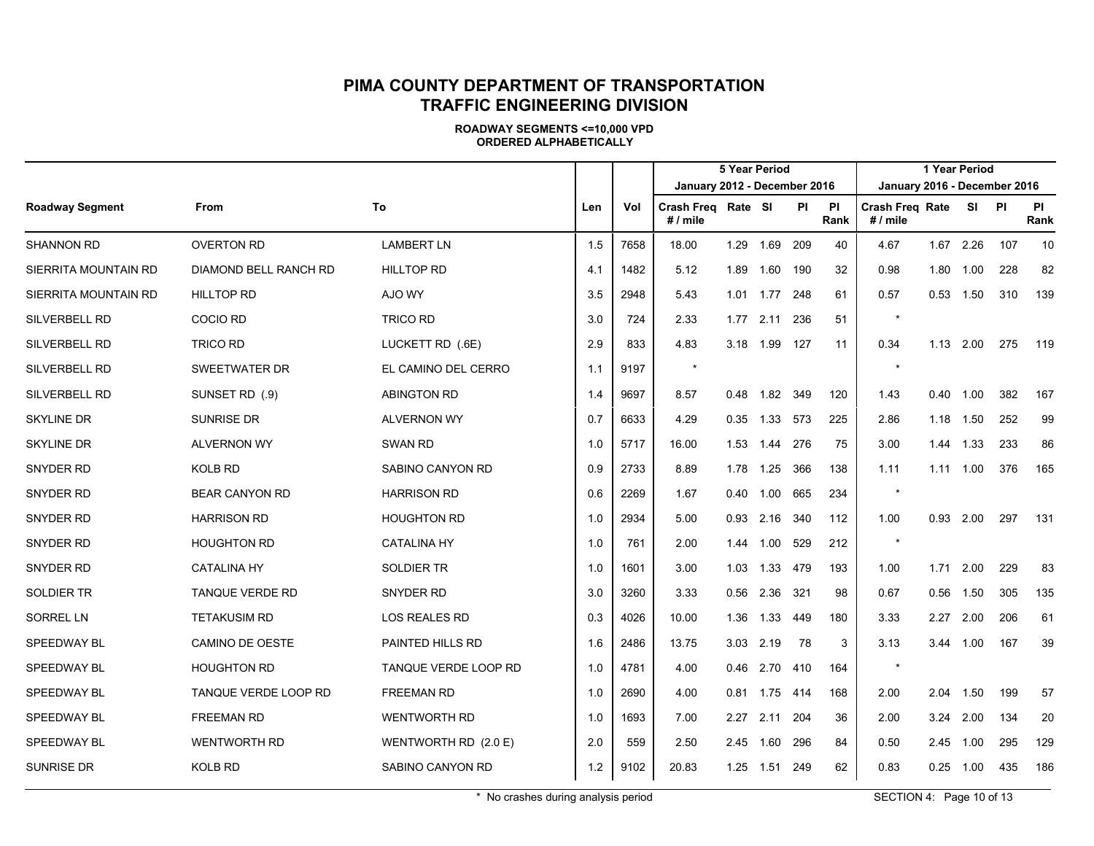|                        |                       |                      |            |      |                                       | <b>5 Year Period</b> |          |           |                   |                                    |      | 1 Year Period |     |            |
|------------------------|-----------------------|----------------------|------------|------|---------------------------------------|----------------------|----------|-----------|-------------------|------------------------------------|------|---------------|-----|------------|
|                        |                       |                      |            |      | January 2012 - December 2016          |                      |          |           |                   | January 2016 - December 2016       |      |               |     |            |
| <b>Roadway Segment</b> | <b>From</b>           | To                   | <b>Len</b> | Vol  | Crash Freq Rate SI<br># $\prime$ mile |                      |          | <b>PI</b> | <b>PI</b><br>Rank | <b>Crash Freq Rate</b><br># / mile |      | SI PI         |     | PI<br>Rank |
| <b>SHANNON RD</b>      | <b>OVERTON RD</b>     | <b>LAMBERT LN</b>    | 1.5        | 7658 | 18.00                                 | 1.29                 | 1.69     | 209       | 40                | 4.67                               |      | 1.67 2.26     | 107 | 10         |
| SIERRITA MOUNTAIN RD   | DIAMOND BELL RANCH RD | <b>HILLTOP RD</b>    | 4.1        | 1482 | 5.12                                  | 1.89                 | 1.60     | 190       | 32                | 0.98                               | 1.80 | 1.00          | 228 | 82         |
| SIERRITA MOUNTAIN RD   | <b>HILLTOP RD</b>     | AJO WY               | 3.5        | 2948 | 5.43                                  | 1.01                 | 1.77     | 248       | 61                | 0.57                               |      | $0.53$ 1.50   | 310 | 139        |
| <b>SILVERBELL RD</b>   | <b>COCIO RD</b>       | <b>TRICO RD</b>      | 3.0        | 724  | 2.33                                  | 1.77                 | 2.11     | 236       | 51                | $\star$                            |      |               |     |            |
| <b>SILVERBELL RD</b>   | <b>TRICO RD</b>       | LUCKETT RD (.6E)     | 2.9        | 833  | 4.83                                  | 3.18                 | 1.99 127 |           | 11                | 0.34                               |      | 1.13 2.00     | 275 | 119        |
| SILVERBELL RD          | <b>SWEETWATER DR</b>  | EL CAMINO DEL CERRO  | 1.1        | 9197 | $\star$                               |                      |          |           |                   | $\star$                            |      |               |     |            |
| <b>SILVERBELL RD</b>   | SUNSET RD (.9)        | <b>ABINGTON RD</b>   | 1.4        | 9697 | 8.57                                  | 0.48                 | 1.82 349 |           | 120               | 1.43                               | 0.40 | 1.00          | 382 | 167        |
| <b>SKYLINE DR</b>      | <b>SUNRISE DR</b>     | <b>ALVERNON WY</b>   | 0.7        | 6633 | 4.29                                  | 0.35                 | 1.33 573 |           | 225               | 2.86                               | 1.18 | 1.50          | 252 | 99         |
| <b>SKYLINE DR</b>      | <b>ALVERNON WY</b>    | SWAN RD              | 1.0        | 5717 | 16.00                                 | 1.53                 | 1.44     | 276       | 75                | 3.00                               | 1.44 | 1.33          | 233 | 86         |
| SNYDER RD              | <b>KOLB RD</b>        | SABINO CANYON RD     | 0.9        | 2733 | 8.89                                  | 1.78                 | 1.25     | 366       | 138               | 1.11                               |      | 1.11 1.00     | 376 | 165        |
| SNYDER RD              | <b>BEAR CANYON RD</b> | <b>HARRISON RD</b>   | 0.6        | 2269 | 1.67                                  | 0.40                 | 1.00     | 665       | 234               | $\star$                            |      |               |     |            |
| SNYDER RD              | <b>HARRISON RD</b>    | <b>HOUGHTON RD</b>   | 1.0        | 2934 | 5.00                                  | 0.93                 | 2.16     | 340       | 112               | 1.00                               |      | 0.93 2.00     | 297 | 131        |
| SNYDER RD              | <b>HOUGHTON RD</b>    | <b>CATALINA HY</b>   | 1.0        | 761  | 2.00                                  | 1.44                 | 1.00     | 529       | 212               | $\star$                            |      |               |     |            |
| SNYDER RD              | <b>CATALINA HY</b>    | <b>SOLDIER TR</b>    | 1.0        | 1601 | 3.00                                  | 1.03                 | 1.33 479 |           | 193               | 1.00                               |      | 1.71 2.00     | 229 | 83         |
| <b>SOLDIER TR</b>      | TANQUE VERDE RD       | <b>SNYDER RD</b>     | 3.0        | 3260 | 3.33                                  | 0.56                 | 2.36     | 321       | 98                | 0.67                               | 0.56 | 1.50          | 305 | 135        |
| <b>SORREL LN</b>       | <b>TETAKUSIM RD</b>   | LOS REALES RD        | 0.3        | 4026 | 10.00                                 | 1.36                 | 1.33     | 449       | 180               | 3.33                               | 2.27 | 2.00          | 206 | 61         |
| SPEEDWAY BL            | CAMINO DE OESTE       | PAINTED HILLS RD     | 1.6        | 2486 | 13.75                                 | 3.03                 | 2.19     | 78        | 3                 | 3.13                               | 3.44 | 1.00          | 167 | 39         |
| SPEEDWAY BL            | <b>HOUGHTON RD</b>    | TANQUE VERDE LOOP RD | 1.0        | 4781 | 4.00                                  | 0.46                 | 2.70 410 |           | 164               | $\star$                            |      |               |     |            |
| SPEEDWAY BL            | TANQUE VERDE LOOP RD  | <b>FREEMAN RD</b>    | 1.0        | 2690 | 4.00                                  | 0.81                 | 1.75     | 414       | 168               | 2.00                               | 2.04 | 1.50          | 199 | 57         |
| SPEEDWAY BL            | <b>FREEMAN RD</b>     | <b>WENTWORTH RD</b>  | 1.0        | 1693 | 7.00                                  | 2.27                 | 2.11     | 204       | 36                | 2.00                               | 3.24 | 2.00          | 134 | 20         |
| SPEEDWAY BL            | <b>WENTWORTH RD</b>   | WENTWORTH RD (2.0 E) | 2.0        | 559  | 2.50                                  | 2.45                 | 1.60     | 296       | 84                | 0.50                               | 2.45 | 1.00          | 295 | 129        |
| <b>SUNRISE DR</b>      | <b>KOLB RD</b>        | SABINO CANYON RD     | 1.2        | 9102 | 20.83                                 | 1.25                 | 1.51 249 |           | 62                | 0.83                               | 0.25 | 1.00          | 435 | 186        |
|                        |                       |                      |            |      |                                       |                      |          |           |                   |                                    |      |               |     |            |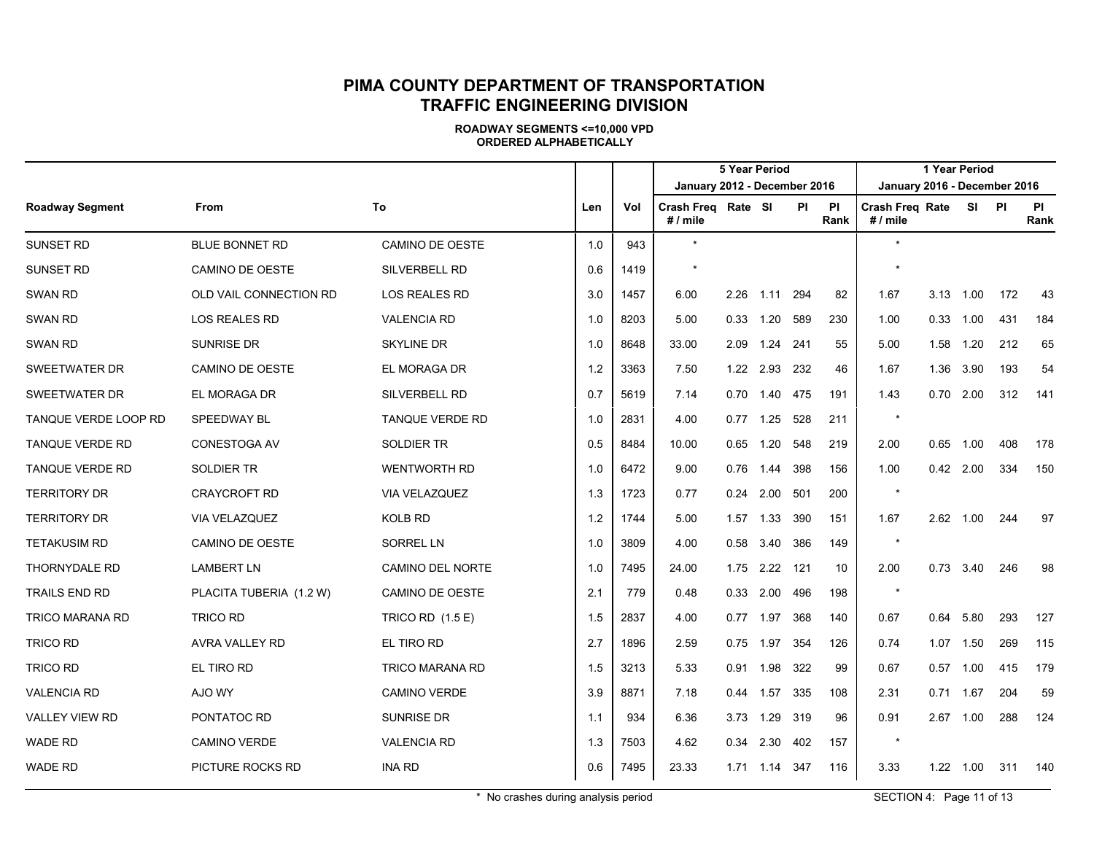|                             |                         |                         |     |      |                                                    | <b>5 Year Period</b> |                 |     |           |                                                        | 1 Year Period |           |     |           |
|-----------------------------|-------------------------|-------------------------|-----|------|----------------------------------------------------|----------------------|-----------------|-----|-----------|--------------------------------------------------------|---------------|-----------|-----|-----------|
| <b>Roadway Segment</b>      | <b>From</b>             | To                      | Len | Vol  | January 2012 - December 2016<br>Crash Freq Rate SI |                      |                 | PI  | <b>PI</b> | January 2016 - December 2016<br><b>Crash Freg Rate</b> |               | SI PI     |     | <b>PI</b> |
|                             |                         |                         |     |      | $# /$ mile                                         |                      |                 |     | Rank      | # / mile                                               |               |           |     | Rank      |
| SUNSET RD                   | <b>BLUE BONNET RD</b>   | <b>CAMINO DE OESTE</b>  | 1.0 | 943  | $\star$                                            |                      |                 |     |           | $\star$                                                |               |           |     |           |
| <b>SUNSET RD</b>            | CAMINO DE OESTE         | SILVERBELL RD           | 0.6 | 1419 | $\star$                                            |                      |                 |     |           | $\star$                                                |               |           |     |           |
| <b>SWAN RD</b>              | OLD VAIL CONNECTION RD  | <b>LOS REALES RD</b>    | 3.0 | 1457 | 6.00                                               | 2.26                 | 1.11 294        |     | 82        | 1.67                                                   | 3.13          | 1.00      | 172 | 43        |
| <b>SWAN RD</b>              | LOS REALES RD           | <b>VALENCIA RD</b>      | 1.0 | 8203 | 5.00                                               | 0.33                 | 1.20            | 589 | 230       | 1.00                                                   | 0.33          | 1.00      | 431 | 184       |
| <b>SWAN RD</b>              | SUNRISE DR              | <b>SKYLINE DR</b>       | 1.0 | 8648 | 33.00                                              | 2.09                 | 1.24            | 241 | 55        | 5.00                                                   | 1.58          | 1.20      | 212 | 65        |
| <b>SWEETWATER DR</b>        | CAMINO DE OESTE         | EL MORAGA DR            | 1.2 | 3363 | 7.50                                               | 1.22                 | 2.93            | 232 | 46        | 1.67                                                   | 1.36 3.90     |           | 193 | 54        |
| <b>SWEETWATER DR</b>        | EL MORAGA DR            | SILVERBELL RD           | 0.7 | 5619 | 7.14                                               | 0.70                 | 1.40            | 475 | 191       | 1.43                                                   | 0.70          | 2.00      | 312 | 141       |
| <b>TANQUE VERDE LOOP RD</b> | SPEEDWAY BL             | <b>TANQUE VERDE RD</b>  | 1.0 | 2831 | 4.00                                               | 0.77                 | 1.25            | 528 | 211       | $\star$                                                |               |           |     |           |
| <b>TANQUE VERDE RD</b>      | <b>CONESTOGA AV</b>     | <b>SOLDIER TR</b>       | 0.5 | 8484 | 10.00                                              | 0.65                 | 1.20            | 548 | 219       | 2.00                                                   | 0.65          | 1.00      | 408 | 178       |
| TANQUE VERDE RD             | <b>SOLDIER TR</b>       | <b>WENTWORTH RD</b>     | 1.0 | 6472 | 9.00                                               | 0.76                 | 1.44            | 398 | 156       | 1.00                                                   |               | 0.42 2.00 | 334 | 150       |
| <b>TERRITORY DR</b>         | <b>CRAYCROFT RD</b>     | VIA VELAZQUEZ           | 1.3 | 1723 | 0.77                                               | 0.24                 | 2.00            | 501 | 200       | $\star$                                                |               |           |     |           |
| <b>TERRITORY DR</b>         | VIA VELAZQUEZ           | <b>KOLB RD</b>          | 1.2 | 1744 | 5.00                                               | 1.57                 | 1.33            | 390 | 151       | 1.67                                                   | 2.62 1.00     |           | 244 | 97        |
| <b>TETAKUSIM RD</b>         | CAMINO DE OESTE         | <b>SORREL LN</b>        | 1.0 | 3809 | 4.00                                               | 0.58                 | 3.40            | 386 | 149       | $\star$                                                |               |           |     |           |
| <b>THORNYDALE RD</b>        | <b>LAMBERT LN</b>       | <b>CAMINO DEL NORTE</b> | 1.0 | 7495 | 24.00                                              | 1.75                 | 2.22 121        |     | 10        | 2.00                                                   | 0.73 3.40     |           | 246 | 98        |
| <b>TRAILS END RD</b>        | PLACITA TUBERIA (1.2 W) | <b>CAMINO DE OESTE</b>  | 2.1 | 779  | 0.48                                               | 0.33                 | 2.00            | 496 | 198       | $\star$                                                |               |           |     |           |
| <b>TRICO MARANA RD</b>      | <b>TRICO RD</b>         | TRICO RD $(1.5 E)$      | 1.5 | 2837 | 4.00                                               | 0.77                 | 1.97            | 368 | 140       | 0.67                                                   | 0.64          | 5.80      | 293 | 127       |
| <b>TRICO RD</b>             | <b>AVRA VALLEY RD</b>   | EL TIRO RD              | 2.7 | 1896 | 2.59                                               | 0.75                 | 1.97            | 354 | 126       | 0.74                                                   | 1.07          | 1.50      | 269 | 115       |
| <b>TRICO RD</b>             | EL TIRO RD              | <b>TRICO MARANA RD</b>  | 1.5 | 3213 | 5.33                                               | 0.91                 | 1.98            | 322 | 99        | 0.67                                                   | 0.57          | 1.00      | 415 | 179       |
| <b>VALENCIA RD</b>          | AJO WY                  | <b>CAMINO VERDE</b>     | 3.9 | 8871 | 7.18                                               | 0.44                 | 1.57            | 335 | 108       | 2.31                                                   | 0.71          | 1.67      | 204 | 59        |
| <b>VALLEY VIEW RD</b>       | PONTATOC RD             | <b>SUNRISE DR</b>       | 1.1 | 934  | 6.36                                               | 3.73                 | 1.29 319        |     | 96        | 0.91                                                   |               | 2.67 1.00 | 288 | 124       |
| <b>WADE RD</b>              | <b>CAMINO VERDE</b>     | <b>VALENCIA RD</b>      | 1.3 | 7503 | 4.62                                               | 0.34                 | 2.30            | 402 | 157       |                                                        |               |           |     |           |
| <b>WADE RD</b>              | PICTURE ROCKS RD        | <b>INA RD</b>           | 0.6 | 7495 | 23.33                                              |                      | 1.71  1.14  347 |     | 116       | 3.33                                                   |               | 1.22 1.00 | 311 | 140       |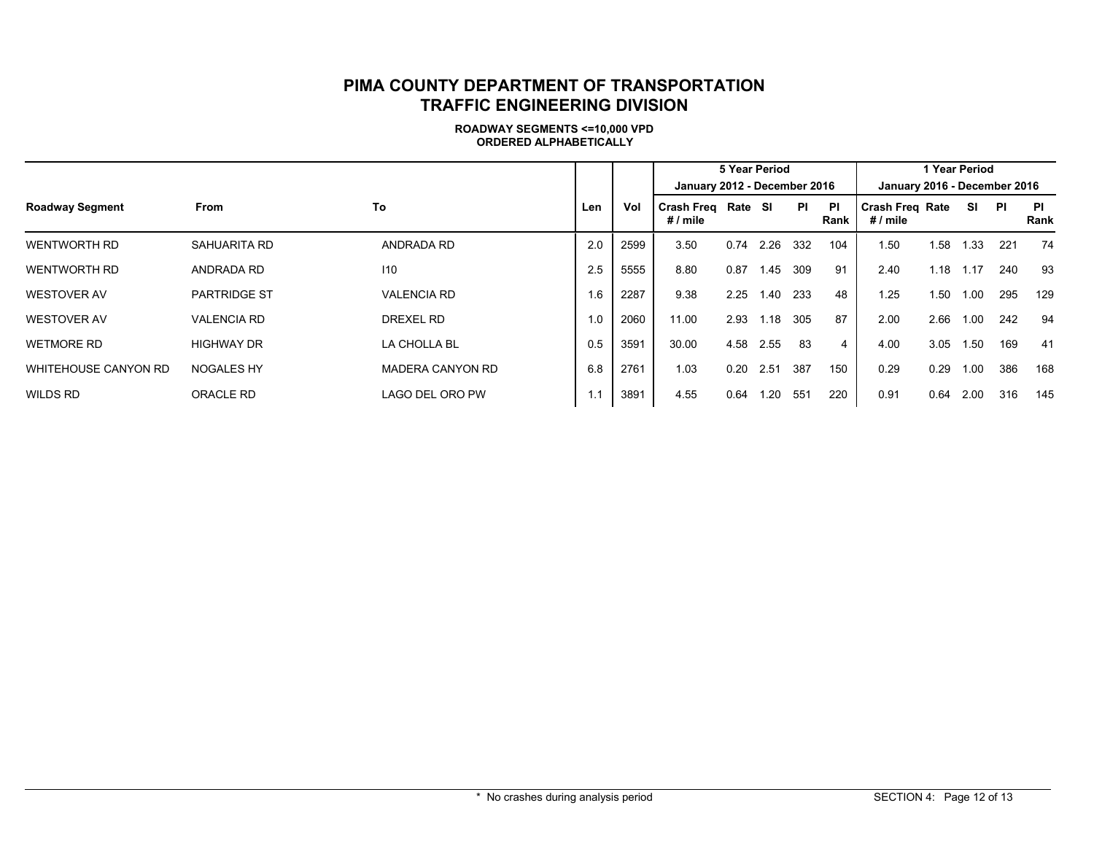|                             |                                          |                         |     |      | January 2012 - December 2016          | <b>5 Year Period</b> |      |           |                   | January 2016 - December 2016       | 1 Year Period |      |           |                   |
|-----------------------------|------------------------------------------|-------------------------|-----|------|---------------------------------------|----------------------|------|-----------|-------------------|------------------------------------|---------------|------|-----------|-------------------|
| <b>Roadway Segment</b>      | To<br>From<br>SAHUARITA RD<br>ANDRADA RD |                         |     |      | <b>Crash Freg Rate SI</b><br># / mile |                      |      | <b>PI</b> | <b>PI</b><br>Rank | <b>Crash Freg Rate</b><br># / mile |               | SI   | <b>PI</b> | <b>PI</b><br>Rank |
| <b>WENTWORTH RD</b>         |                                          |                         | 2.0 | 2599 | 3.50                                  | 0.74                 | 2.26 | 332       | 104               | 1.50                               | 1.58          | 1.33 | 221       | 74                |
| <b>WENTWORTH RD</b>         | ANDRADA RD                               | 110                     | 2.5 | 5555 | 8.80                                  | 0.87                 | 1.45 | 309       | 91                | 2.40                               | l.18          | 1.17 | 240       | 93                |
| <b>WESTOVER AV</b>          | <b>PARTRIDGE ST</b>                      | <b>VALENCIA RD</b>      | 1.6 | 2287 | 9.38                                  | 2.25                 | 1.40 | 233       | 48                | 1.25                               | 1.50          | 1.00 | 295       | 129               |
| <b>WESTOVER AV</b>          | <b>VALENCIA RD</b>                       | <b>DREXEL RD</b>        | 1.0 | 2060 | 11.00                                 | 2.93                 | 1.18 | 305       | 87                | 2.00                               | 2.66          | 1.00 | 242       | 94                |
| <b>WETMORE RD</b>           | <b>HIGHWAY DR</b>                        | LA CHOLLA BL            | 0.5 | 3591 | 30.00                                 | 4.58                 | 2.55 | 83        | 4                 | 4.00                               | 3.05          | 1.50 | 169       | 41                |
| <b>WHITEHOUSE CANYON RD</b> | <b>NOGALES HY</b>                        | <b>MADERA CANYON RD</b> | 6.8 | 2761 | 1.03                                  | 0.20                 | 2.51 | 387       | 150               | 0.29                               | 0.29          | 1.00 | 386       | 168               |
| <b>WILDS RD</b>             | ORACLE RD                                | LAGO DEL ORO PW         | 1.1 | 3891 | 4.55                                  | 0.64                 | 1.20 | 551       | 220               | 0.91                               | 0.64          | 2.00 | 316       | 145               |